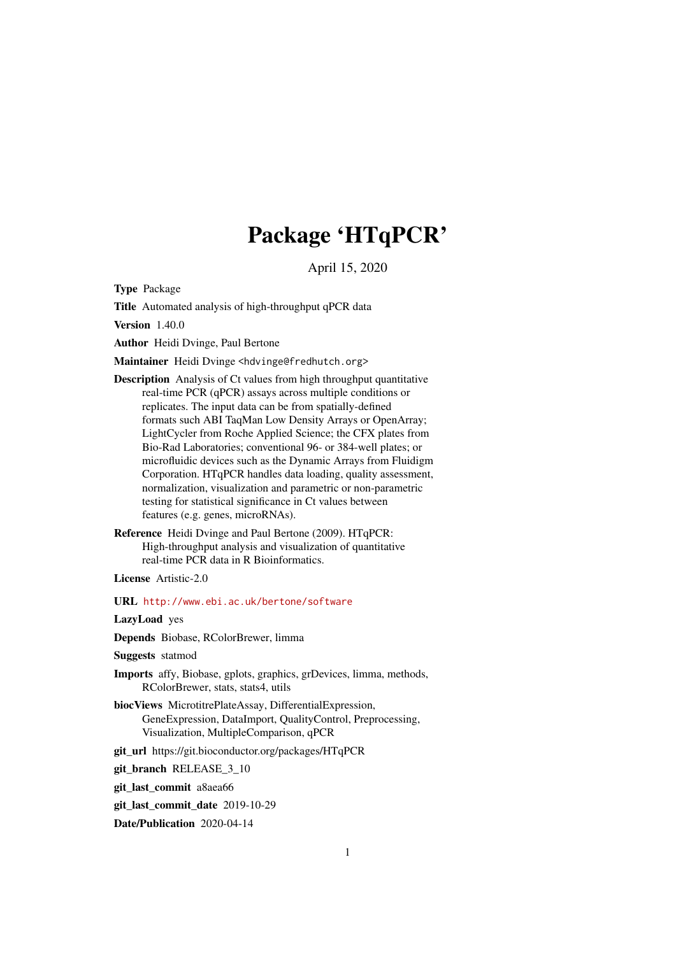# Package 'HTqPCR'

April 15, 2020

<span id="page-0-0"></span>Type Package

Title Automated analysis of high-throughput qPCR data

Version 1.40.0

Author Heidi Dvinge, Paul Bertone

Maintainer Heidi Dvinge <hdvinge@fredhutch.org>

- Description Analysis of Ct values from high throughput quantitative real-time PCR (qPCR) assays across multiple conditions or replicates. The input data can be from spatially-defined formats such ABI TaqMan Low Density Arrays or OpenArray; LightCycler from Roche Applied Science; the CFX plates from Bio-Rad Laboratories; conventional 96- or 384-well plates; or microfluidic devices such as the Dynamic Arrays from Fluidigm Corporation. HTqPCR handles data loading, quality assessment, normalization, visualization and parametric or non-parametric testing for statistical significance in Ct values between features (e.g. genes, microRNAs).
- Reference Heidi Dvinge and Paul Bertone (2009). HTqPCR: High-throughput analysis and visualization of quantitative real-time PCR data in R Bioinformatics.

License Artistic-2.0

URL <http://www.ebi.ac.uk/bertone/software>

LazyLoad yes

Depends Biobase, RColorBrewer, limma

Suggests statmod

- Imports affy, Biobase, gplots, graphics, grDevices, limma, methods, RColorBrewer, stats, stats4, utils
- biocViews MicrotitrePlateAssay, DifferentialExpression, GeneExpression, DataImport, QualityControl, Preprocessing, Visualization, MultipleComparison, qPCR
- git\_url https://git.bioconductor.org/packages/HTqPCR

git\_branch RELEASE\_3\_10

git\_last\_commit a8aea66

git\_last\_commit\_date 2019-10-29

Date/Publication 2020-04-14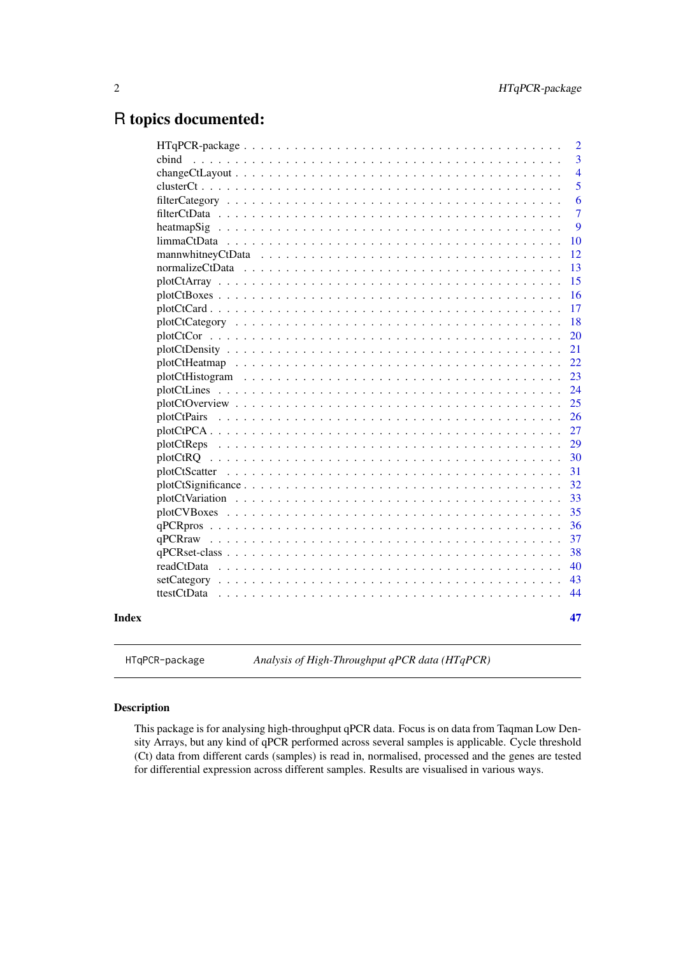# <span id="page-1-0"></span>R topics documented:

|             | $\overline{2}$ |
|-------------|----------------|
| cbind       | $\overline{3}$ |
|             | $\overline{4}$ |
|             | 5              |
|             | 6              |
|             | $\overline{7}$ |
|             | 9              |
|             | 10             |
|             | 12             |
|             | 13             |
|             | 15             |
|             | 16             |
|             | 17             |
|             | 18             |
|             | 20             |
|             | 21             |
|             | 22             |
|             | 23             |
|             | 24             |
|             | 25             |
| plotCtPairs | 26             |
|             | 27             |
|             | 29             |
|             | 30             |
|             | 31             |
|             | 32             |
|             | 33             |
|             | 35             |
|             | 36             |
|             | 37             |
|             | 38             |
| readCtData  | 40             |
|             | 43             |
| ttestCtData | 44             |
|             |                |
|             | 47             |

HTqPCR-package *Analysis of High-Throughput qPCR data (HTqPCR)*

# Description

This package is for analysing high-throughput qPCR data. Focus is on data from Taqman Low Density Arrays, but any kind of qPCR performed across several samples is applicable. Cycle threshold (Ct) data from different cards (samples) is read in, normalised, processed and the genes are tested for differential expression across different samples. Results are visualised in various ways.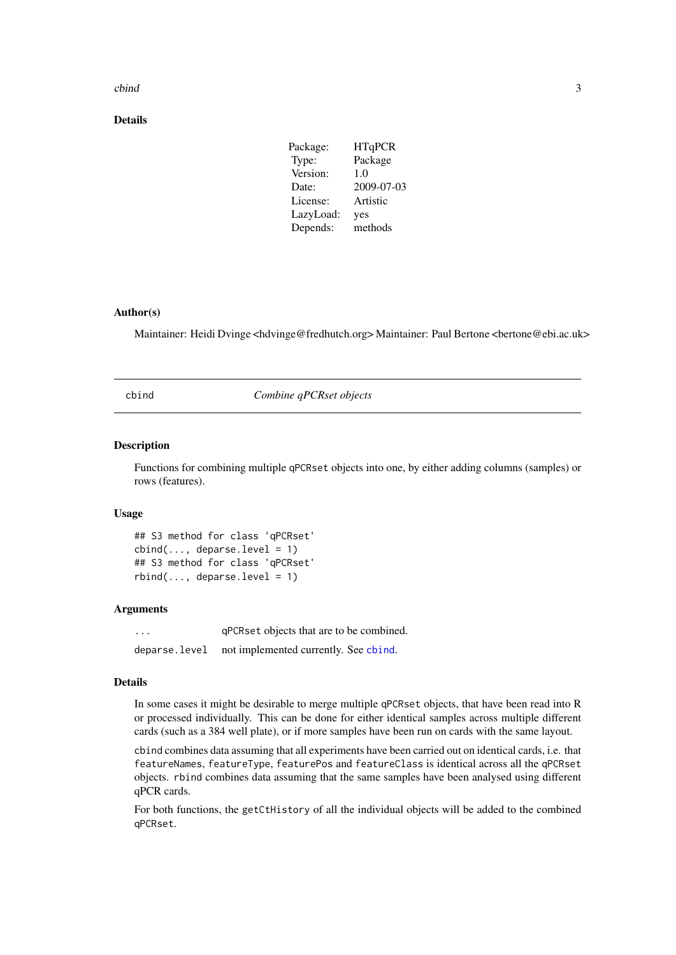#### <span id="page-2-0"></span>cbind 3

# Details

| Package:  | <b>HTqPCR</b> |
|-----------|---------------|
| Type:     | Package       |
| Version:  | 1.0           |
| Date:     | 2009-07-03    |
| License:  | Artistic      |
| LazyLoad: | yes           |
| Depends:  | methods       |
|           |               |

# Author(s)

Maintainer: Heidi Dvinge <hdvinge@fredhutch.org> Maintainer: Paul Bertone <br/> <br/>edebi.ac.uk>

<span id="page-2-1"></span>cbind *Combine qPCRset objects*

#### Description

Functions for combining multiple qPCRset objects into one, by either adding columns (samples) or rows (features).

# Usage

```
## S3 method for class 'qPCRset'
cbind(..., deparse.level = 1)## S3 method for class 'qPCRset'
rbind(..., deparse.level = 1)
```
#### Arguments

... qPCRset objects that are to be combined. deparse.level not implemented currently. See [cbind](#page-2-1).

### Details

In some cases it might be desirable to merge multiple qPCRset objects, that have been read into R or processed individually. This can be done for either identical samples across multiple different cards (such as a 384 well plate), or if more samples have been run on cards with the same layout.

cbind combines data assuming that all experiments have been carried out on identical cards, i.e. that featureNames, featureType, featurePos and featureClass is identical across all the qPCRset objects. rbind combines data assuming that the same samples have been analysed using different qPCR cards.

For both functions, the getCtHistory of all the individual objects will be added to the combined qPCRset.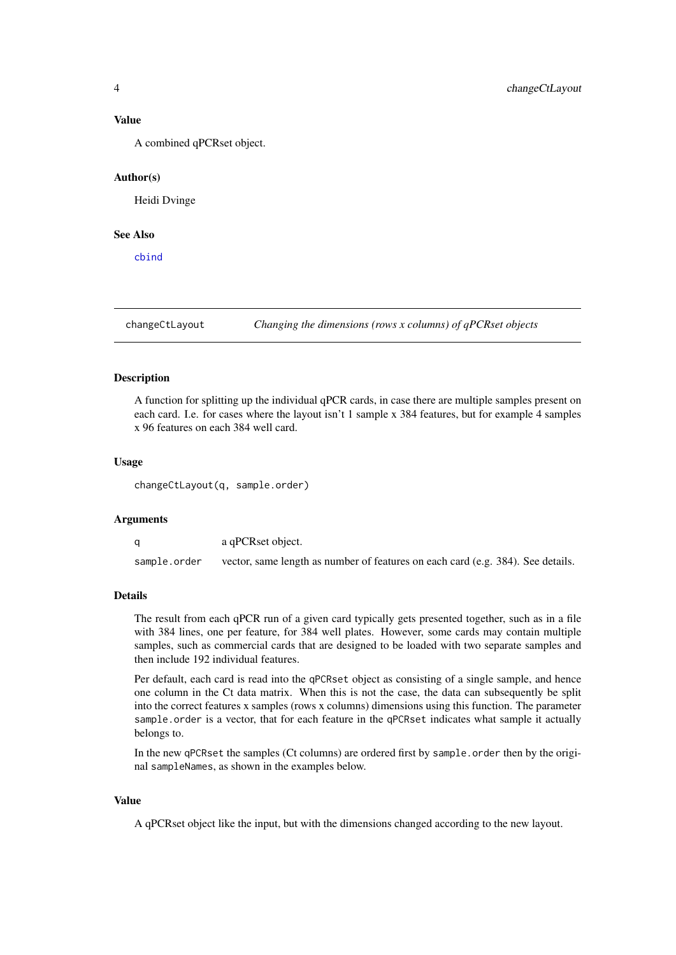#### <span id="page-3-0"></span>Value

A combined qPCRset object.

#### Author(s)

Heidi Dvinge

# See Also

[cbind](#page-2-1)

changeCtLayout *Changing the dimensions (rows x columns) of qPCRset objects*

# Description

A function for splitting up the individual qPCR cards, in case there are multiple samples present on each card. I.e. for cases where the layout isn't 1 sample x 384 features, but for example 4 samples x 96 features on each 384 well card.

#### Usage

changeCtLayout(q, sample.order)

# Arguments

q a qPCRset object. sample.order vector, same length as number of features on each card (e.g. 384). See details.

### Details

The result from each qPCR run of a given card typically gets presented together, such as in a file with 384 lines, one per feature, for 384 well plates. However, some cards may contain multiple samples, such as commercial cards that are designed to be loaded with two separate samples and then include 192 individual features.

Per default, each card is read into the qPCRset object as consisting of a single sample, and hence one column in the Ct data matrix. When this is not the case, the data can subsequently be split into the correct features x samples (rows x columns) dimensions using this function. The parameter sample.order is a vector, that for each feature in the qPCRset indicates what sample it actually belongs to.

In the new qPCRset the samples (Ct columns) are ordered first by sample.order then by the original sampleNames, as shown in the examples below.

# Value

A qPCRset object like the input, but with the dimensions changed according to the new layout.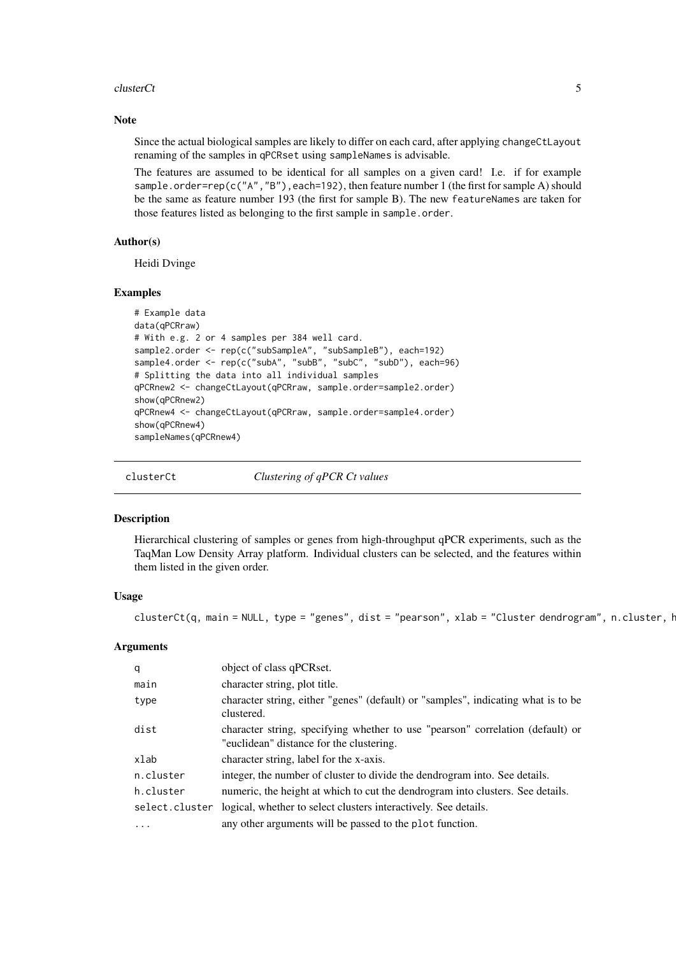#### <span id="page-4-0"></span>clusterCt 5

#### Note

Since the actual biological samples are likely to differ on each card, after applying changeCtLayout renaming of the samples in qPCRset using sampleNames is advisable.

The features are assumed to be identical for all samples on a given card! I.e. if for example sample.order=rep(c("A","B"),each=192), then feature number 1 (the first for sample A) should be the same as feature number 193 (the first for sample B). The new featureNames are taken for those features listed as belonging to the first sample in sample.order.

# Author(s)

Heidi Dvinge

# Examples

```
# Example data
data(qPCRraw)
# With e.g. 2 or 4 samples per 384 well card.
sample2.order <- rep(c("subSampleA", "subSampleB"), each=192)
sample4.order <- rep(c("subA", "subB", "subC", "subD"), each=96)
# Splitting the data into all individual samples
qPCRnew2 <- changeCtLayout(qPCRraw, sample.order=sample2.order)
show(qPCRnew2)
qPCRnew4 <- changeCtLayout(qPCRraw, sample.order=sample4.order)
show(qPCRnew4)
sampleNames(qPCRnew4)
```
clusterCt *Clustering of qPCR Ct values*

#### **Description**

Hierarchical clustering of samples or genes from high-throughput qPCR experiments, such as the TaqMan Low Density Array platform. Individual clusters can be selected, and the features within them listed in the given order.

#### Usage

clusterCt(q, main = NULL, type = "genes", dist = "pearson", xlab = "Cluster dendrogram", n.cluster,  $\mathsf{F}$ 

| q              | object of class qPCRset.                                                                                                   |
|----------------|----------------------------------------------------------------------------------------------------------------------------|
| main           | character string, plot title.                                                                                              |
| type           | character string, either "genes" (default) or "samples", indicating what is to be<br>clustered.                            |
| dist           | character string, specifying whether to use "pearson" correlation (default) or<br>"euclidean" distance for the clustering. |
| xlab           | character string, label for the x-axis.                                                                                    |
| n.cluster      | integer, the number of cluster to divide the dendrogram into. See details.                                                 |
| h.cluster      | numeric, the height at which to cut the dendrogram into clusters. See details.                                             |
| select.cluster | logical, whether to select clusters interactively. See details.                                                            |
| .              | any other arguments will be passed to the plot function.                                                                   |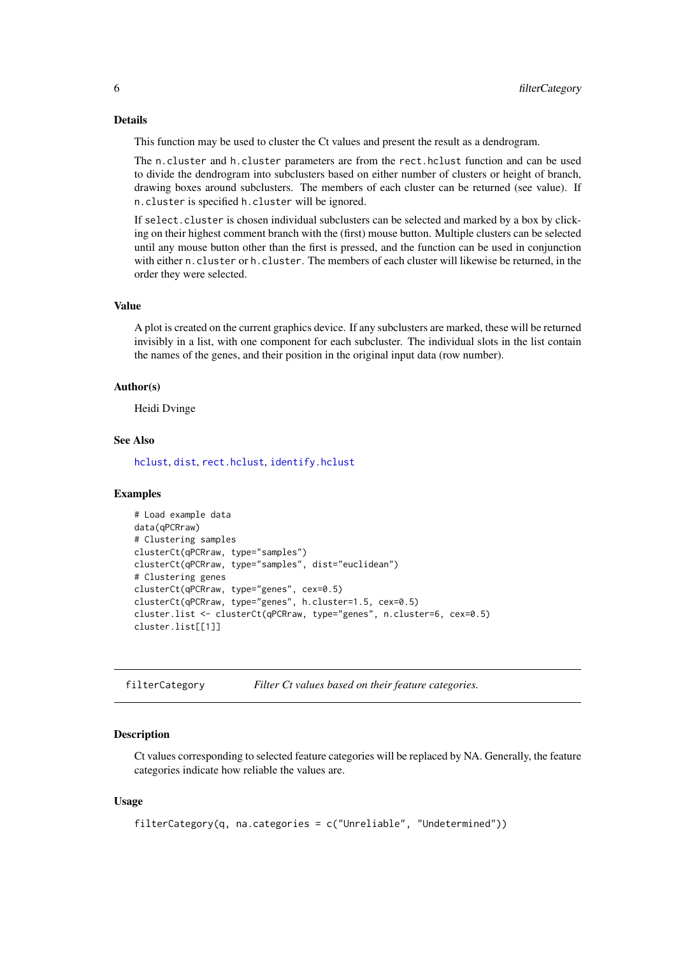#### Details

This function may be used to cluster the Ct values and present the result as a dendrogram.

The n.cluster and h.cluster parameters are from the rect.hclust function and can be used to divide the dendrogram into subclusters based on either number of clusters or height of branch, drawing boxes around subclusters. The members of each cluster can be returned (see value). If n.cluster is specified h.cluster will be ignored.

If select.cluster is chosen individual subclusters can be selected and marked by a box by clicking on their highest comment branch with the (first) mouse button. Multiple clusters can be selected until any mouse button other than the first is pressed, and the function can be used in conjunction with either n.cluster or h.cluster. The members of each cluster will likewise be returned, in the order they were selected.

# Value

A plot is created on the current graphics device. If any subclusters are marked, these will be returned invisibly in a list, with one component for each subcluster. The individual slots in the list contain the names of the genes, and their position in the original input data (row number).

#### Author(s)

Heidi Dvinge

# See Also

[hclust](#page-0-0), [dist](#page-0-0), [rect.hclust](#page-0-0), [identify.hclust](#page-0-0)

# Examples

```
# Load example data
data(qPCRraw)
# Clustering samples
clusterCt(qPCRraw, type="samples")
clusterCt(qPCRraw, type="samples", dist="euclidean")
# Clustering genes
clusterCt(qPCRraw, type="genes", cex=0.5)
clusterCt(qPCRraw, type="genes", h.cluster=1.5, cex=0.5)
cluster.list <- clusterCt(qPCRraw, type="genes", n.cluster=6, cex=0.5)
cluster.list[[1]]
```
<span id="page-5-1"></span>filterCategory *Filter Ct values based on their feature categories.*

#### Description

Ct values corresponding to selected feature categories will be replaced by NA. Generally, the feature categories indicate how reliable the values are.

#### Usage

```
filterCategory(q, na.categories = c("Unreliable", "Undetermined"))
```
<span id="page-5-0"></span>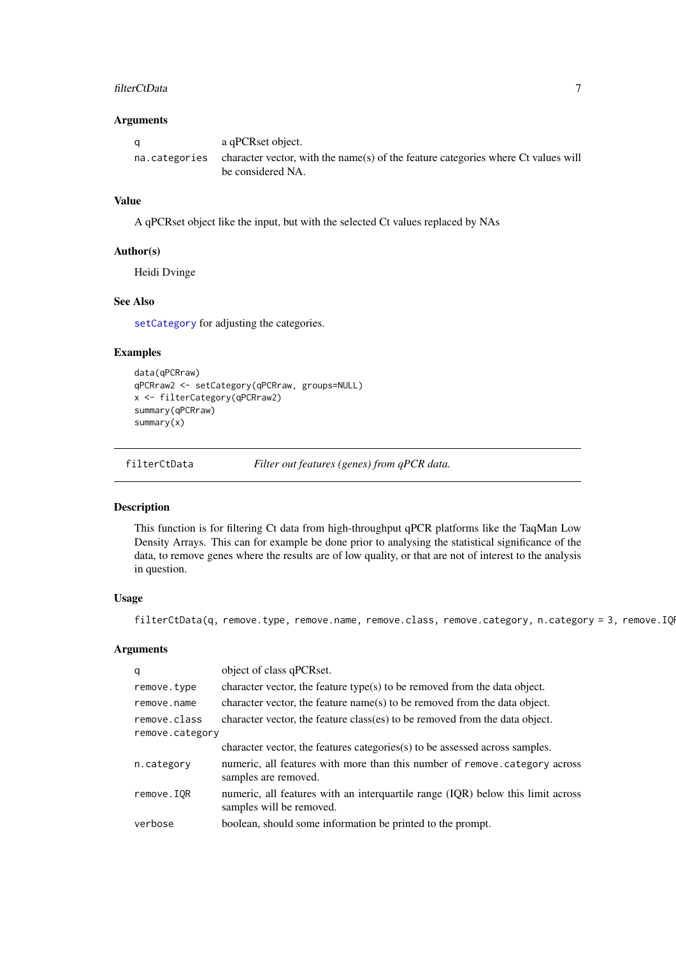# <span id="page-6-0"></span>filterCtData 7

# Arguments

| a | a qPCRset object.                                                                                                     |
|---|-----------------------------------------------------------------------------------------------------------------------|
|   | na. categories character vector, with the name(s) of the feature categories where Ct values will<br>be considered NA. |

# Value

A qPCRset object like the input, but with the selected Ct values replaced by NAs

#### Author(s)

Heidi Dvinge

#### See Also

[setCategory](#page-42-1) for adjusting the categories.

# Examples

```
data(qPCRraw)
qPCRraw2 <- setCategory(qPCRraw, groups=NULL)
x <- filterCategory(qPCRraw2)
summary(qPCRraw)
summary(x)
```
filterCtData *Filter out features (genes) from qPCR data.*

# Description

This function is for filtering Ct data from high-throughput qPCR platforms like the TaqMan Low Density Arrays. This can for example be done prior to analysing the statistical significance of the data, to remove genes where the results are of low quality, or that are not of interest to the analysis in question.

#### Usage

filterCtData(q, remove.type, remove.name, remove.class, remove.category, n.category = 3, remove.IQ

| q               | object of class qPCRset.                                                                                    |
|-----------------|-------------------------------------------------------------------------------------------------------------|
| remove.type     | character vector, the feature type(s) to be removed from the data object.                                   |
| remove.name     | character vector, the feature name(s) to be removed from the data object.                                   |
| remove.class    | character vector, the feature class(es) to be removed from the data object.                                 |
| remove.category |                                                                                                             |
|                 | character vector, the features categories(s) to be assessed across samples.                                 |
| n.category      | numeric, all features with more than this number of remove. category across<br>samples are removed.         |
| remove.IQR      | numeric, all features with an interquartile range (IQR) below this limit across<br>samples will be removed. |
| verbose         | boolean, should some information be printed to the prompt.                                                  |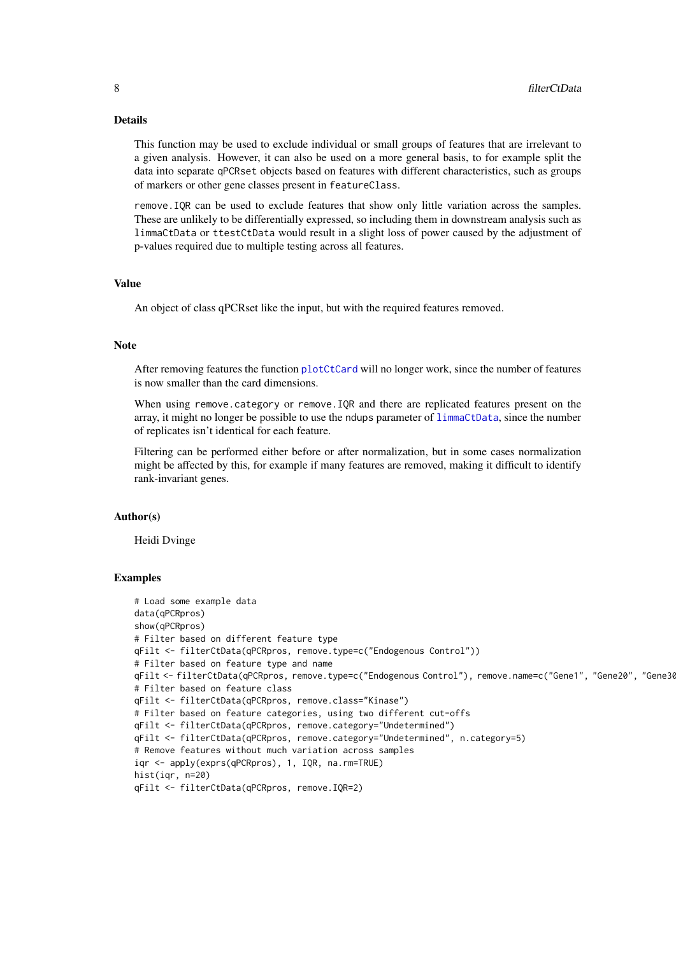#### Details

This function may be used to exclude individual or small groups of features that are irrelevant to a given analysis. However, it can also be used on a more general basis, to for example split the data into separate qPCRset objects based on features with different characteristics, such as groups of markers or other gene classes present in featureClass.

remove.IQR can be used to exclude features that show only little variation across the samples. These are unlikely to be differentially expressed, so including them in downstream analysis such as limmaCtData or ttestCtData would result in a slight loss of power caused by the adjustment of p-values required due to multiple testing across all features.

# Value

An object of class qPCRset like the input, but with the required features removed.

#### Note

After removing features the function [plotCtCard](#page-16-1) will no longer work, since the number of features is now smaller than the card dimensions.

When using remove.category or remove.IQR and there are replicated features present on the array, it might no longer be possible to use the ndups parameter of [limmaCtData](#page-9-1), since the number of replicates isn't identical for each feature.

Filtering can be performed either before or after normalization, but in some cases normalization might be affected by this, for example if many features are removed, making it difficult to identify rank-invariant genes.

# Author(s)

Heidi Dvinge

```
# Load some example data
data(qPCRpros)
show(qPCRpros)
# Filter based on different feature type
qFilt <- filterCtData(qPCRpros, remove.type=c("Endogenous Control"))
# Filter based on feature type and name
qFilt <- filterCtData(qPCRpros, remove.type=c("Endogenous Control"), remove.name=c("Gene1", "Gene20", "Gene30"))
# Filter based on feature class
qFilt <- filterCtData(qPCRpros, remove.class="Kinase")
# Filter based on feature categories, using two different cut-offs
qFilt <- filterCtData(qPCRpros, remove.category="Undetermined")
qFilt <- filterCtData(qPCRpros, remove.category="Undetermined", n.category=5)
# Remove features without much variation across samples
iqr <- apply(exprs(qPCRpros), 1, IQR, na.rm=TRUE)
hist(iqr, n=20)
qFilt <- filterCtData(qPCRpros, remove.IQR=2)
```
<span id="page-7-0"></span>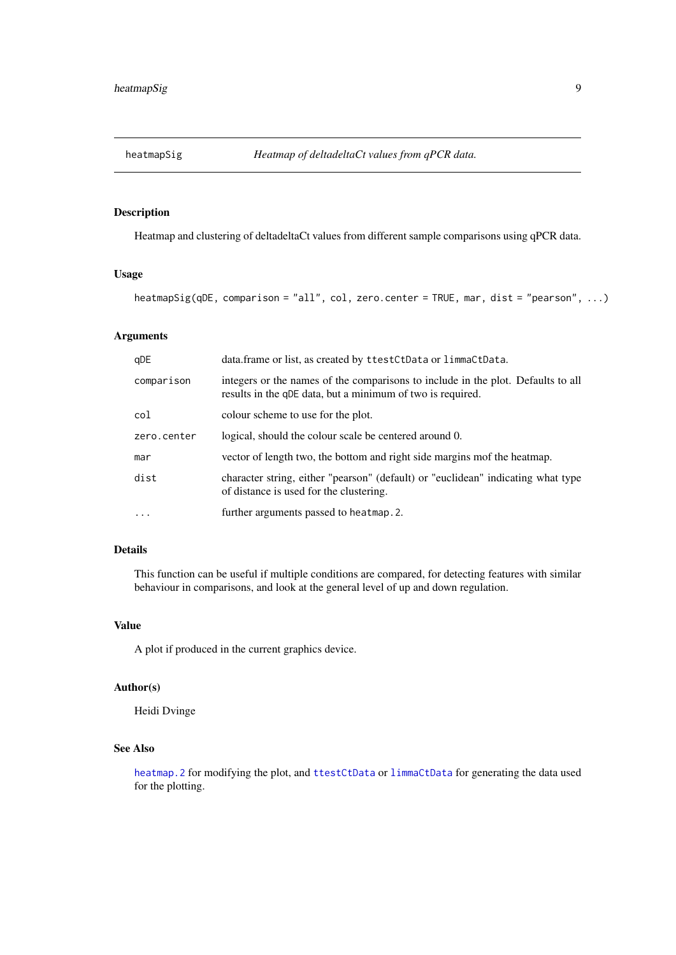<span id="page-8-1"></span><span id="page-8-0"></span>

Heatmap and clustering of deltadeltaCt values from different sample comparisons using qPCR data.

# Usage

heatmapSig(qDE, comparison = "all", col, zero.center = TRUE, mar, dist = "pearson", ...)

# Arguments

| qDE         | data.frame or list, as created by ttestCtData or limmaCtData.                                                                                  |
|-------------|------------------------------------------------------------------------------------------------------------------------------------------------|
| comparison  | integers or the names of the comparisons to include in the plot. Defaults to all<br>results in the qDE data, but a minimum of two is required. |
| col         | colour scheme to use for the plot.                                                                                                             |
| zero.center | logical, should the colour scale be centered around 0.                                                                                         |
| mar         | vector of length two, the bottom and right side margins mof the heatmap.                                                                       |
| dist        | character string, either "pearson" (default) or "euclidean" indicating what type<br>of distance is used for the clustering.                    |
| $\ddotsc$   | further arguments passed to heatmap. 2.                                                                                                        |

#### Details

This function can be useful if multiple conditions are compared, for detecting features with similar behaviour in comparisons, and look at the general level of up and down regulation.

#### Value

A plot if produced in the current graphics device.

#### Author(s)

Heidi Dvinge

# See Also

[heatmap.2](#page-0-0) for modifying the plot, and [ttestCtData](#page-43-1) or [limmaCtData](#page-9-1) for generating the data used for the plotting.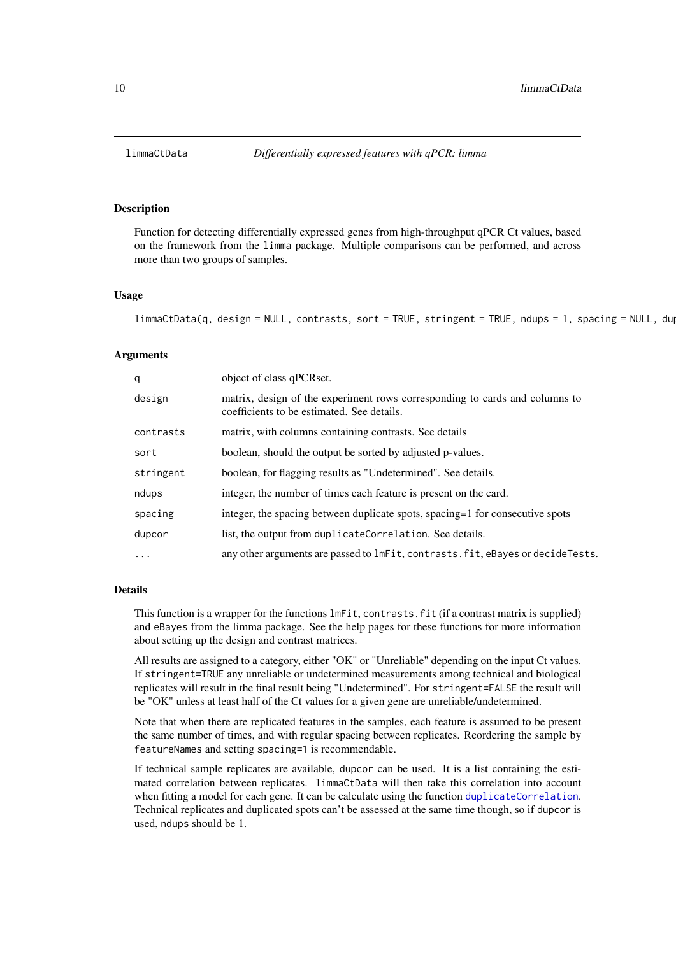<span id="page-9-1"></span><span id="page-9-0"></span>Function for detecting differentially expressed genes from high-throughput qPCR Ct values, based on the framework from the limma package. Multiple comparisons can be performed, and across more than two groups of samples.

#### Usage

 $limmardbata(q, design = NULL, contrasts, sort = TRUE, stringent = TRUE, ndups = 1, spacing = NULL, du$ 

#### Arguments

| q         | object of class qPCRset.                                                                                                  |
|-----------|---------------------------------------------------------------------------------------------------------------------------|
| design    | matrix, design of the experiment rows corresponding to cards and columns to<br>coefficients to be estimated. See details. |
| contrasts | matrix, with columns containing contrasts. See details                                                                    |
| sort      | boolean, should the output be sorted by adjusted p-values.                                                                |
| stringent | boolean, for flagging results as "Undetermined". See details.                                                             |
| ndups     | integer, the number of times each feature is present on the card.                                                         |
| spacing   | integer, the spacing between duplicate spots, spacing=1 for consecutive spots                                             |
| dupcor    | list, the output from duplicateCorrelation. See details.                                                                  |
| $\cdot$   | any other arguments are passed to $lmFit$ , contrasts. fit, eBayes or decideTests.                                        |
|           |                                                                                                                           |

#### Details

This function is a wrapper for the functions lmFit, contrasts.fit (if a contrast matrix is supplied) and eBayes from the limma package. See the help pages for these functions for more information about setting up the design and contrast matrices.

All results are assigned to a category, either "OK" or "Unreliable" depending on the input Ct values. If stringent=TRUE any unreliable or undetermined measurements among technical and biological replicates will result in the final result being "Undetermined". For stringent=FALSE the result will be "OK" unless at least half of the Ct values for a given gene are unreliable/undetermined.

Note that when there are replicated features in the samples, each feature is assumed to be present the same number of times, and with regular spacing between replicates. Reordering the sample by featureNames and setting spacing=1 is recommendable.

If technical sample replicates are available, dupcor can be used. It is a list containing the estimated correlation between replicates. limmaCtData will then take this correlation into account when fitting a model for each gene. It can be calculate using the function [duplicateCorrelation](#page-0-0). Technical replicates and duplicated spots can't be assessed at the same time though, so if dupcor is used, ndups should be 1.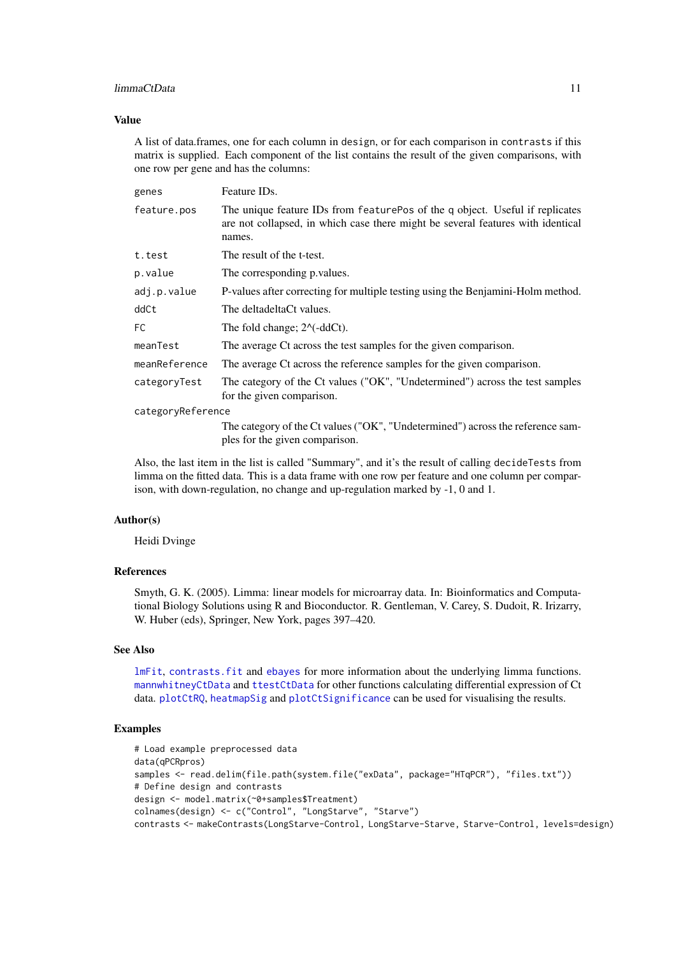#### <span id="page-10-0"></span>limmaCtData 11

#### Value

A list of data.frames, one for each column in design, or for each comparison in contrasts if this matrix is supplied. Each component of the list contains the result of the given comparisons, with one row per gene and has the columns:

| genes             | Feature ID <sub>s</sub> .                                                                                                                                                 |  |
|-------------------|---------------------------------------------------------------------------------------------------------------------------------------------------------------------------|--|
| feature.pos       | The unique feature IDs from featurePos of the q object. Useful if replicates<br>are not collapsed, in which case there might be several features with identical<br>names. |  |
| t.test            | The result of the t-test.                                                                                                                                                 |  |
| p.value           | The corresponding p. values.                                                                                                                                              |  |
| adj.p.value       | P-values after correcting for multiple testing using the Benjamini-Holm method.                                                                                           |  |
| ddCt              | The deltadeltaCt values.                                                                                                                                                  |  |
| FC                | The fold change; $2^{\wedge}$ (-ddCt).                                                                                                                                    |  |
| meanTest          | The average Ct across the test samples for the given comparison.                                                                                                          |  |
| meanReference     | The average Ct across the reference samples for the given comparison.                                                                                                     |  |
| categoryTest      | The category of the Ct values ("OK", "Undetermined") across the test samples<br>for the given comparison.                                                                 |  |
| categoryReference |                                                                                                                                                                           |  |
|                   | The category of the Ct values ("OK", "Undetermined") across the reference sam-                                                                                            |  |
|                   | ples for the given comparison.                                                                                                                                            |  |

Also, the last item in the list is called "Summary", and it's the result of calling decideTests from limma on the fitted data. This is a data frame with one row per feature and one column per comparison, with down-regulation, no change and up-regulation marked by -1, 0 and 1.

# Author(s)

Heidi Dvinge

#### References

Smyth, G. K. (2005). Limma: linear models for microarray data. In: Bioinformatics and Computational Biology Solutions using R and Bioconductor. R. Gentleman, V. Carey, S. Dudoit, R. Irizarry, W. Huber (eds), Springer, New York, pages 397–420.

# See Also

[lmFit](#page-0-0), [contrasts.fit](#page-0-0) and [ebayes](#page-0-0) for more information about the underlying limma functions. [mannwhitneyCtData](#page-11-1) and [ttestCtData](#page-43-1) for other functions calculating differential expression of Ct data. [plotCtRQ](#page-29-1), [heatmapSig](#page-8-1) and [plotCtSignificance](#page-31-1) can be used for visualising the results.

```
# Load example preprocessed data
data(qPCRpros)
samples <- read.delim(file.path(system.file("exData", package="HTqPCR"), "files.txt"))
# Define design and contrasts
design <- model.matrix(~0+samples$Treatment)
colnames(design) <- c("Control", "LongStarve", "Starve")
contrasts <- makeContrasts(LongStarve-Control, LongStarve-Starve, Starve-Control, levels=design)
```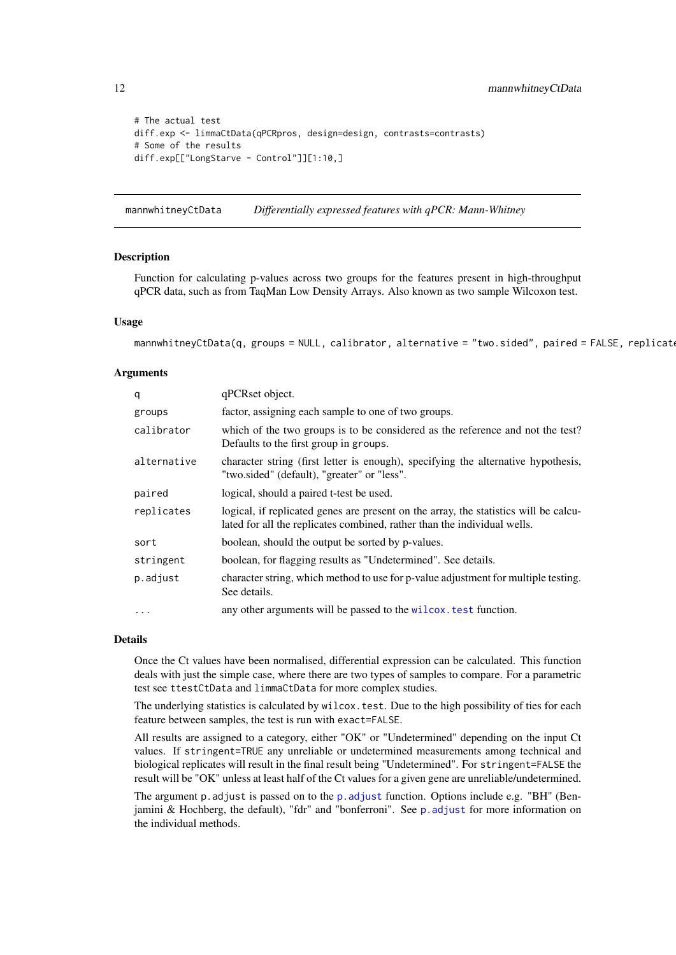```
# The actual test
diff.exp <- limmaCtData(qPCRpros, design=design, contrasts=contrasts)
# Some of the results
diff.exp[["LongStarve - Control"]][1:10,]
```
<span id="page-11-1"></span>mannwhitneyCtData *Differentially expressed features with qPCR: Mann-Whitney*

#### Description

Function for calculating p-values across two groups for the features present in high-throughput qPCR data, such as from TaqMan Low Density Arrays. Also known as two sample Wilcoxon test.

#### Usage

```
mannwhitneyCtData(q, groups = NULL, calibrator, alternative = "two.sided", paired = FALSE, replicat
```
#### Arguments

| q           | qPCRset object.                                                                                                                                                  |
|-------------|------------------------------------------------------------------------------------------------------------------------------------------------------------------|
| groups      | factor, assigning each sample to one of two groups.                                                                                                              |
| calibrator  | which of the two groups is to be considered as the reference and not the test?<br>Defaults to the first group in groups.                                         |
| alternative | character string (first letter is enough), specifying the alternative hypothesis,<br>"two.sided" (default), "greater" or "less".                                 |
| paired      | logical, should a paired t-test be used.                                                                                                                         |
| replicates  | logical, if replicated genes are present on the array, the statistics will be calcu-<br>lated for all the replicates combined, rather than the individual wells. |
| sort        | boolean, should the output be sorted by p-values.                                                                                                                |
| stringent   | boolean, for flagging results as "Undetermined". See details.                                                                                                    |
| p.adjust    | character string, which method to use for p-value adjustment for multiple testing.<br>See details.                                                               |
| $\cdots$    | any other arguments will be passed to the wilcox. test function.                                                                                                 |

# Details

Once the Ct values have been normalised, differential expression can be calculated. This function deals with just the simple case, where there are two types of samples to compare. For a parametric test see ttestCtData and limmaCtData for more complex studies.

The underlying statistics is calculated by wilcox.test. Due to the high possibility of ties for each feature between samples, the test is run with exact=FALSE.

All results are assigned to a category, either "OK" or "Undetermined" depending on the input Ct values. If stringent=TRUE any unreliable or undetermined measurements among technical and biological replicates will result in the final result being "Undetermined". For stringent=FALSE the result will be "OK" unless at least half of the Ct values for a given gene are unreliable/undetermined.

The argument p.adjust is passed on to the [p.adjust](#page-0-0) function. Options include e.g. "BH" (Benjamini & Hochberg, the default), "fdr" and "bonferroni". See [p.adjust](#page-0-0) for more information on the individual methods.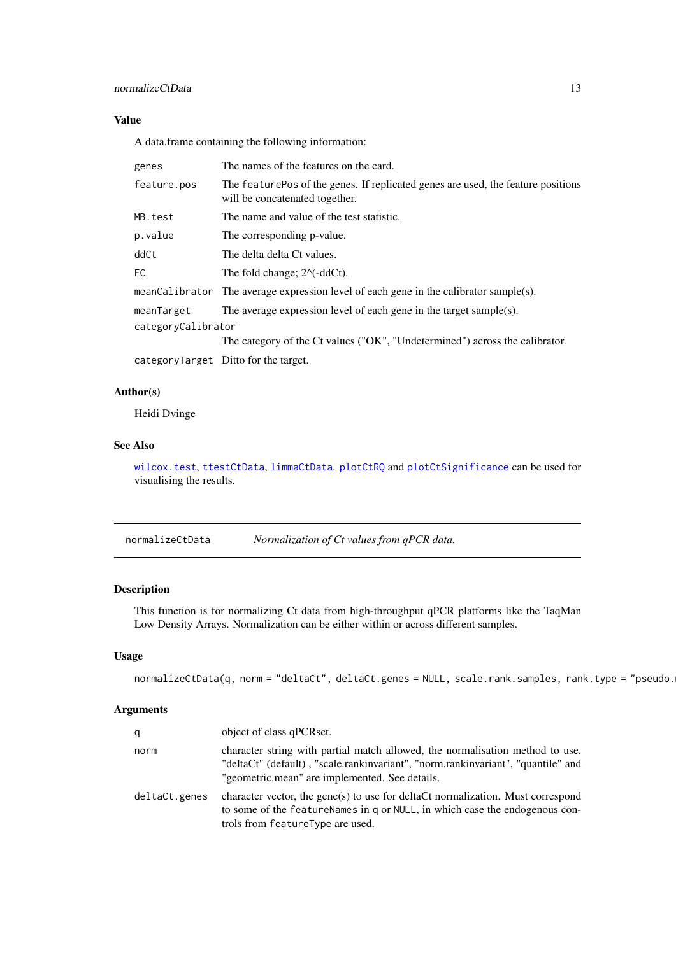#### <span id="page-12-0"></span>Value

A data.frame containing the following information:

| genes              | The names of the features on the card.                                                                              |
|--------------------|---------------------------------------------------------------------------------------------------------------------|
| feature.pos        | The feature Pos of the genes. If replicated genes are used, the feature positions<br>will be concatenated together. |
| MB.test            | The name and value of the test statistic.                                                                           |
| p.value            | The corresponding p-value.                                                                                          |
| ddCt               | The delta delta Ct values.                                                                                          |
| FC.                | The fold change; $2^{\wedge}$ (-ddCt).                                                                              |
|                    | meanCalibrator The average expression level of each gene in the calibrator sample(s).                               |
| meanTarget         | The average expression level of each gene in the target sample(s).                                                  |
| categoryCalibrator |                                                                                                                     |
|                    | The category of the Ct values ("OK", "Undetermined") across the calibrator.                                         |
|                    | categoryTarget Ditto for the target.                                                                                |

# Author(s)

Heidi Dvinge

# See Also

[wilcox.test](#page-0-0), [ttestCtData](#page-43-1), [limmaCtData](#page-9-1). [plotCtRQ](#page-29-1) and [plotCtSignificance](#page-31-1) can be used for visualising the results.

normalizeCtData *Normalization of Ct values from qPCR data.*

# Description

This function is for normalizing Ct data from high-throughput qPCR platforms like the TaqMan Low Density Arrays. Normalization can be either within or across different samples.

# Usage

```
normalizeCtData(q, norm = "deltaCt", deltaCt.genes = NULL, scale.rank.samples, rank.type = "pseudo.
```

| q             | object of class qPCRset.                                                                                                                                                                                            |
|---------------|---------------------------------------------------------------------------------------------------------------------------------------------------------------------------------------------------------------------|
| norm          | character string with partial match allowed, the normalisation method to use.<br>"deltaCt" (default), "scale.rankinvariant", "norm.rankinvariant", "quantile" and<br>"geometric.mean" are implemented. See details. |
| deltaCt.genes | character vector, the gene(s) to use for deltaCt normalization. Must correspond<br>to some of the feature Names in q or NULL, in which case the endogenous con-<br>trols from featureType are used.                 |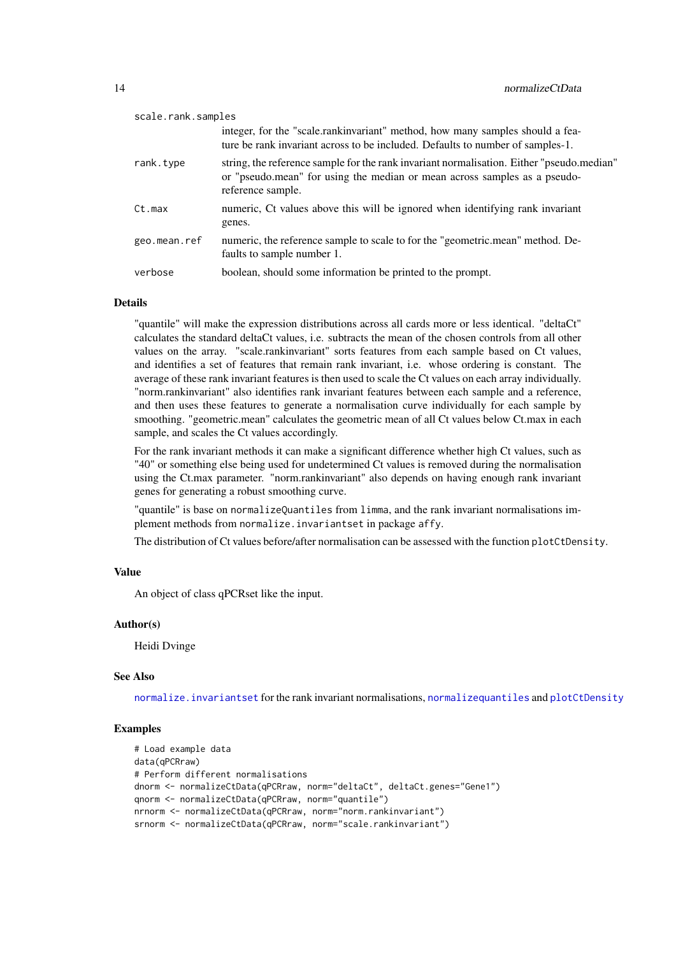<span id="page-13-0"></span>

| scale.rank.samples |                                                                                                                                                                                             |
|--------------------|---------------------------------------------------------------------------------------------------------------------------------------------------------------------------------------------|
|                    | integer, for the "scale.rankinvariant" method, how many samples should a fea-<br>ture be rank invariant across to be included. Defaults to number of samples-1.                             |
| rank.type          | string, the reference sample for the rank invariant normalisation. Either "pseudo.median"<br>or "pseudo.mean" for using the median or mean across samples as a pseudo-<br>reference sample. |
| Ct.max             | numeric, Ct values above this will be ignored when identifying rank invariant<br>genes.                                                                                                     |
| geo.mean.ref       | numeric, the reference sample to scale to for the "geometric.mean" method. De-<br>faults to sample number 1.                                                                                |
| verbose            | boolean, should some information be printed to the prompt.                                                                                                                                  |

#### Details

"quantile" will make the expression distributions across all cards more or less identical. "deltaCt" calculates the standard deltaCt values, i.e. subtracts the mean of the chosen controls from all other values on the array. "scale.rankinvariant" sorts features from each sample based on Ct values, and identifies a set of features that remain rank invariant, i.e. whose ordering is constant. The average of these rank invariant features is then used to scale the Ct values on each array individually. "norm.rankinvariant" also identifies rank invariant features between each sample and a reference, and then uses these features to generate a normalisation curve individually for each sample by smoothing. "geometric.mean" calculates the geometric mean of all Ct values below Ct.max in each sample, and scales the Ct values accordingly.

For the rank invariant methods it can make a significant difference whether high Ct values, such as "40" or something else being used for undetermined Ct values is removed during the normalisation using the Ct.max parameter. "norm.rankinvariant" also depends on having enough rank invariant genes for generating a robust smoothing curve.

"quantile" is base on normalizeQuantiles from limma, and the rank invariant normalisations implement methods from normalize.invariantset in package affy.

The distribution of Ct values before/after normalisation can be assessed with the function plotCtDensity.

#### Value

An object of class qPCRset like the input.

#### Author(s)

Heidi Dvinge

#### See Also

[normalize.invariantset](#page-0-0) for the rank invariant normalisations, [normalizequantiles](#page-0-0) and [plotCtDensity](#page-20-1)

```
# Load example data
data(qPCRraw)
# Perform different normalisations
dnorm <- normalizeCtData(qPCRraw, norm="deltaCt", deltaCt.genes="Gene1")
qnorm <- normalizeCtData(qPCRraw, norm="quantile")
nrnorm <- normalizeCtData(qPCRraw, norm="norm.rankinvariant")
srnorm <- normalizeCtData(qPCRraw, norm="scale.rankinvariant")
```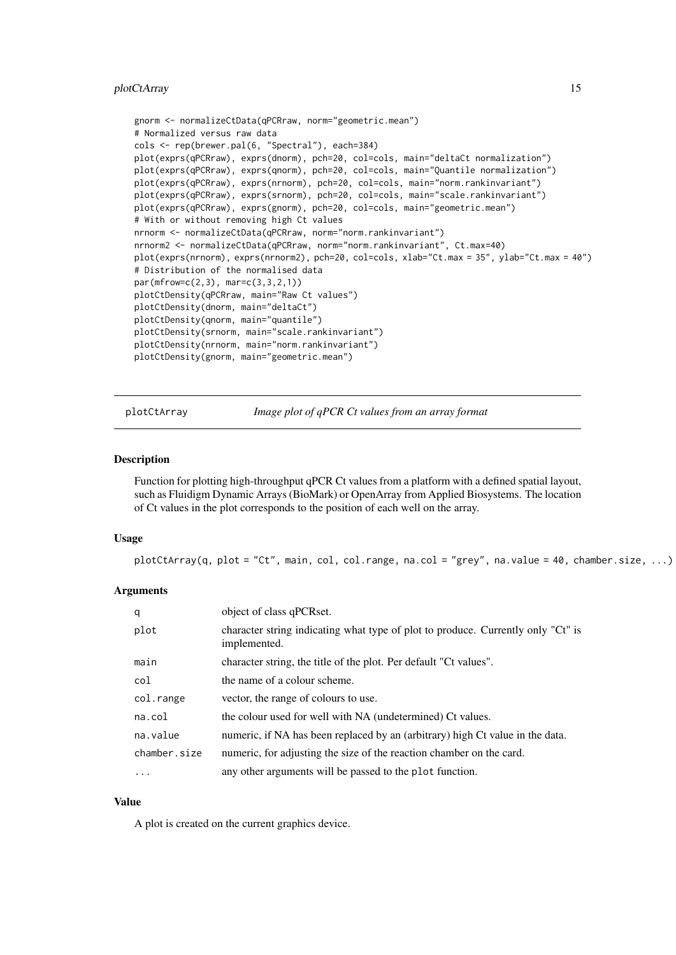# <span id="page-14-0"></span>plotCtArray 15

```
gnorm <- normalizeCtData(qPCRraw, norm="geometric.mean")
# Normalized versus raw data
cols <- rep(brewer.pal(6, "Spectral"), each=384)
plot(exprs(qPCRraw), exprs(dnorm), pch=20, col=cols, main="deltaCt normalization")
plot(exprs(qPCRraw), exprs(qnorm), pch=20, col=cols, main="Quantile normalization")
plot(exprs(qPCRraw), exprs(nrnorm), pch=20, col=cols, main="norm.rankinvariant")
plot(exprs(qPCRraw), exprs(srnorm), pch=20, col=cols, main="scale.rankinvariant")
plot(exprs(qPCRraw), exprs(gnorm), pch=20, col=cols, main="geometric.mean")
# With or without removing high Ct values
nrnorm <- normalizeCtData(qPCRraw, norm="norm.rankinvariant")
nrnorm2 <- normalizeCtData(qPCRraw, norm="norm.rankinvariant", Ct.max=40)
plot(exprs(nrnorm), exprs(nrnorm2), pch=20, col=cols, xlab="Ct.max = 35", ylab="Ct.max = 40")
# Distribution of the normalised data
par(mfrow=c(2,3), mar=c(3,3,2,1))
plotCtDensity(qPCRraw, main="Raw Ct values")
plotCtDensity(dnorm, main="deltaCt")
plotCtDensity(qnorm, main="quantile")
plotCtDensity(srnorm, main="scale.rankinvariant")
plotCtDensity(nrnorm, main="norm.rankinvariant")
plotCtDensity(gnorm, main="geometric.mean")
```
<span id="page-14-1"></span>plotCtArray *Image plot of qPCR Ct values from an array format*

#### Description

Function for plotting high-throughput qPCR Ct values from a platform with a defined spatial layout, such as Fluidigm Dynamic Arrays (BioMark) or OpenArray from Applied Biosystems. The location of Ct values in the plot corresponds to the position of each well on the array.

# Usage

plotCtArray(q, plot = "Ct", main, col, col.range, na.col = "grey", na.value = 40, chamber.size, ...)

#### Arguments

| q            | object of class qPCRset.                                                                         |
|--------------|--------------------------------------------------------------------------------------------------|
| plot         | character string indicating what type of plot to produce. Currently only "Ct" is<br>implemented. |
| main         | character string, the title of the plot. Per default "Ct values".                                |
| col          | the name of a colour scheme.                                                                     |
| col.range    | vector, the range of colours to use.                                                             |
| na.col       | the colour used for well with NA (undetermined) Ct values.                                       |
| na.value     | numeric, if NA has been replaced by an (arbitrary) high Ct value in the data.                    |
| chamber.size | numeric, for adjusting the size of the reaction chamber on the card.                             |
| $\cdots$     | any other arguments will be passed to the plot function.                                         |

#### Value

A plot is created on the current graphics device.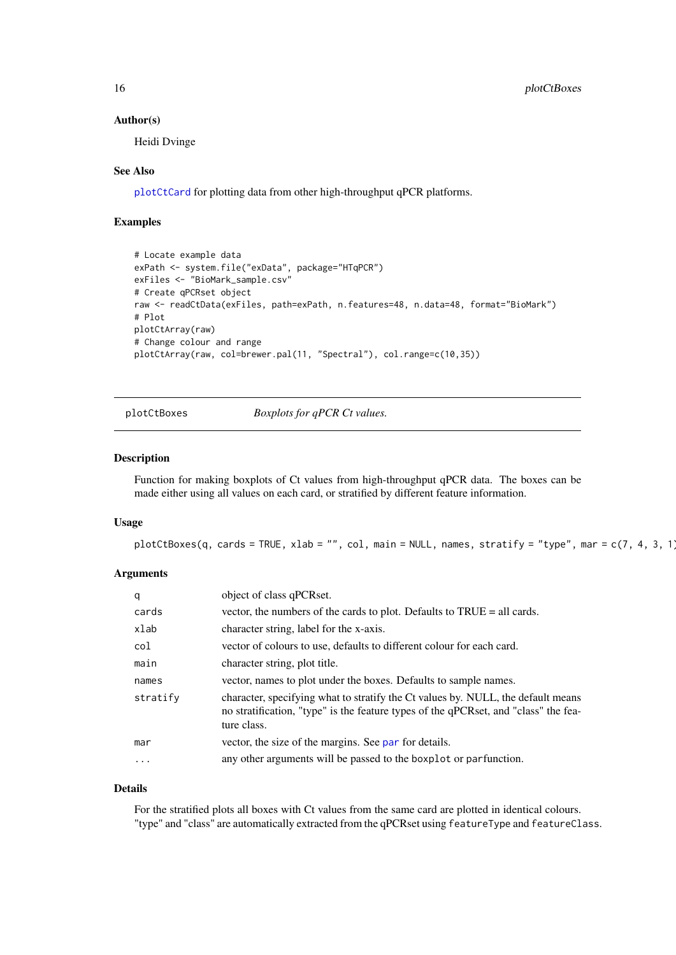#### Author(s)

Heidi Dvinge

#### See Also

[plotCtCard](#page-16-1) for plotting data from other high-throughput qPCR platforms.

# Examples

```
# Locate example data
exPath <- system.file("exData", package="HTqPCR")
exFiles <- "BioMark_sample.csv"
# Create qPCRset object
raw <- readCtData(exFiles, path=exPath, n.features=48, n.data=48, format="BioMark")
# Plot
plotCtArray(raw)
# Change colour and range
plotCtArray(raw, col=brewer.pal(11, "Spectral"), col.range=c(10,35))
```
plotCtBoxes *Boxplots for qPCR Ct values.*

#### Description

Function for making boxplots of Ct values from high-throughput qPCR data. The boxes can be made either using all values on each card, or stratified by different feature information.

#### Usage

plotCtBoxes(q, cards = TRUE, xlab = "", col, main = NULL, names, stratify = "type", mar = c(7, 4, 3, 1)

#### Arguments

| q         | object of class qPCRset.                                                                                                                                                               |
|-----------|----------------------------------------------------------------------------------------------------------------------------------------------------------------------------------------|
| cards     | vector, the numbers of the cards to plot. Defaults to TRUE = all cards.                                                                                                                |
| xlab      | character string, label for the x-axis.                                                                                                                                                |
| col       | vector of colours to use, defaults to different colour for each card.                                                                                                                  |
| main      | character string, plot title.                                                                                                                                                          |
| names     | vector, names to plot under the boxes. Defaults to sample names.                                                                                                                       |
| stratify  | character, specifying what to stratify the Ct values by. NULL, the default means<br>no stratification, "type" is the feature types of the qPCRset, and "class" the fea-<br>ture class. |
| mar       | vector, the size of the margins. See par for details.                                                                                                                                  |
| $\ddotsc$ | any other arguments will be passed to the boxplot or parfunction.                                                                                                                      |

# Details

For the stratified plots all boxes with Ct values from the same card are plotted in identical colours. "type" and "class" are automatically extracted from the qPCRset using featureType and featureClass.

<span id="page-15-0"></span>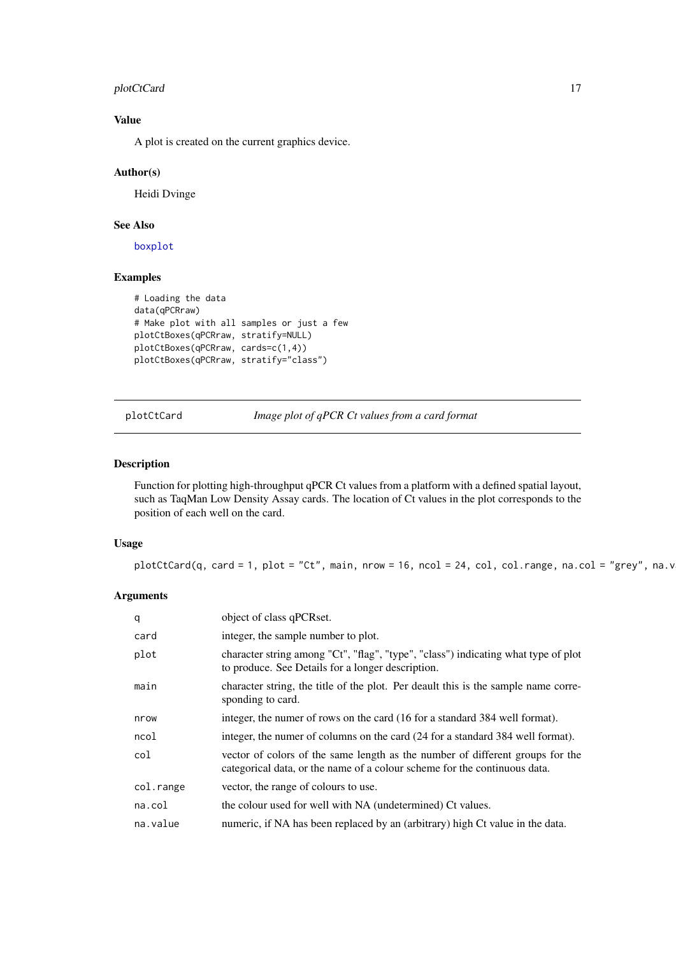#### <span id="page-16-0"></span>plotCtCard 17

# Value

A plot is created on the current graphics device.

# Author(s)

Heidi Dvinge

# See Also

[boxplot](#page-0-0)

# Examples

```
# Loading the data
data(qPCRraw)
# Make plot with all samples or just a few
plotCtBoxes(qPCRraw, stratify=NULL)
plotCtBoxes(qPCRraw, cards=c(1,4))
plotCtBoxes(qPCRraw, stratify="class")
```
<span id="page-16-1"></span>plotCtCard *Image plot of qPCR Ct values from a card format*

# Description

Function for plotting high-throughput qPCR Ct values from a platform with a defined spatial layout, such as TaqMan Low Density Assay cards. The location of Ct values in the plot corresponds to the position of each well on the card.

# Usage

plotCtCard(q, card = 1, plot = "Ct", main, nrow = 16, ncol = 24, col, col.range, na.col = "grey", na.v

| q         | object of class qPCRset.                                                                                                                                   |
|-----------|------------------------------------------------------------------------------------------------------------------------------------------------------------|
| card      | integer, the sample number to plot.                                                                                                                        |
| plot      | character string among "Ct", "flag", "type", "class") indicating what type of plot<br>to produce. See Details for a longer description.                    |
| main      | character string, the title of the plot. Per deault this is the sample name corre-<br>sponding to card.                                                    |
| nrow      | integer, the numer of rows on the card (16 for a standard 384 well format).                                                                                |
| ncol      | integer, the numer of columns on the card (24 for a standard 384 well format).                                                                             |
| col       | vector of colors of the same length as the number of different groups for the<br>categorical data, or the name of a colour scheme for the continuous data. |
| col.range | vector, the range of colours to use.                                                                                                                       |
| na.co1    | the colour used for well with NA (undetermined) Ct values.                                                                                                 |
| na.value  | numeric, if NA has been replaced by an (arbitrary) high Ct value in the data.                                                                              |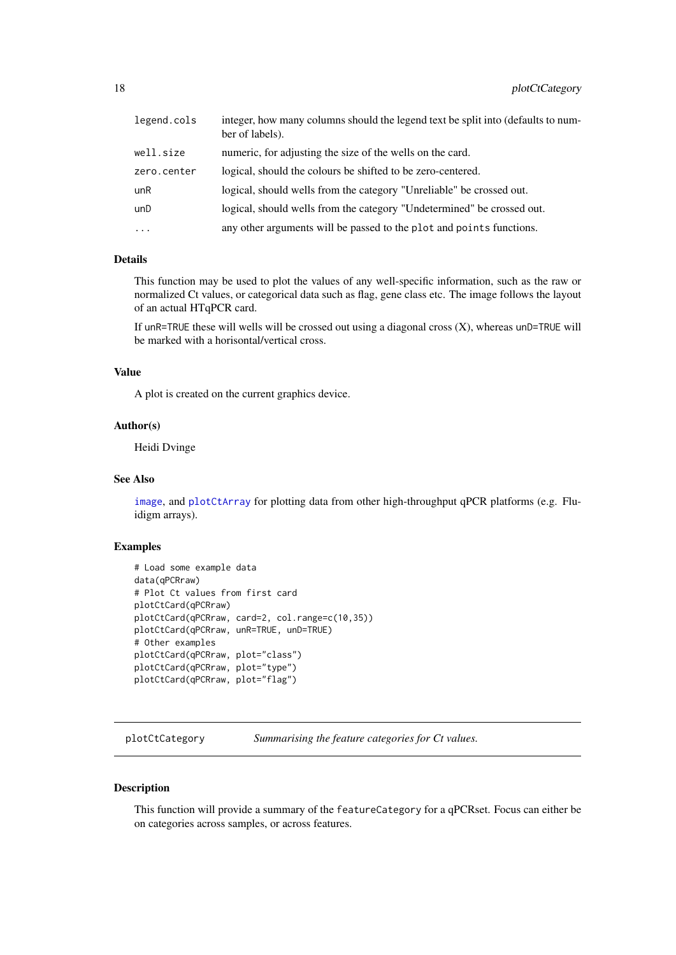<span id="page-17-0"></span>

| legend.cols | integer, how many columns should the legend text be split into (defaults to num-<br>ber of labels). |
|-------------|-----------------------------------------------------------------------------------------------------|
| well.size   | numeric, for adjusting the size of the wells on the card.                                           |
| zero.center | logical, should the colours be shifted to be zero-centered.                                         |
| unR         | logical, should wells from the category "Unreliable" be crossed out.                                |
| unD         | logical, should wells from the category "Undetermined" be crossed out.                              |
| $\cdots$    | any other arguments will be passed to the plot and points functions.                                |

# Details

This function may be used to plot the values of any well-specific information, such as the raw or normalized Ct values, or categorical data such as flag, gene class etc. The image follows the layout of an actual HTqPCR card.

If unR=TRUE these will wells will be crossed out using a diagonal cross  $(X)$ , whereas unD=TRUE will be marked with a horisontal/vertical cross.

#### Value

A plot is created on the current graphics device.

#### Author(s)

Heidi Dvinge

#### See Also

[image](#page-0-0), and [plotCtArray](#page-14-1) for plotting data from other high-throughput qPCR platforms (e.g. Fluidigm arrays).

#### Examples

```
# Load some example data
data(qPCRraw)
# Plot Ct values from first card
plotCtCard(qPCRraw)
plotCtCard(qPCRraw, card=2, col.range=c(10,35))
plotCtCard(qPCRraw, unR=TRUE, unD=TRUE)
# Other examples
plotCtCard(qPCRraw, plot="class")
plotCtCard(qPCRraw, plot="type")
plotCtCard(qPCRraw, plot="flag")
```
<span id="page-17-1"></span>plotCtCategory *Summarising the feature categories for Ct values.*

# Description

This function will provide a summary of the featureCategory for a qPCRset. Focus can either be on categories across samples, or across features.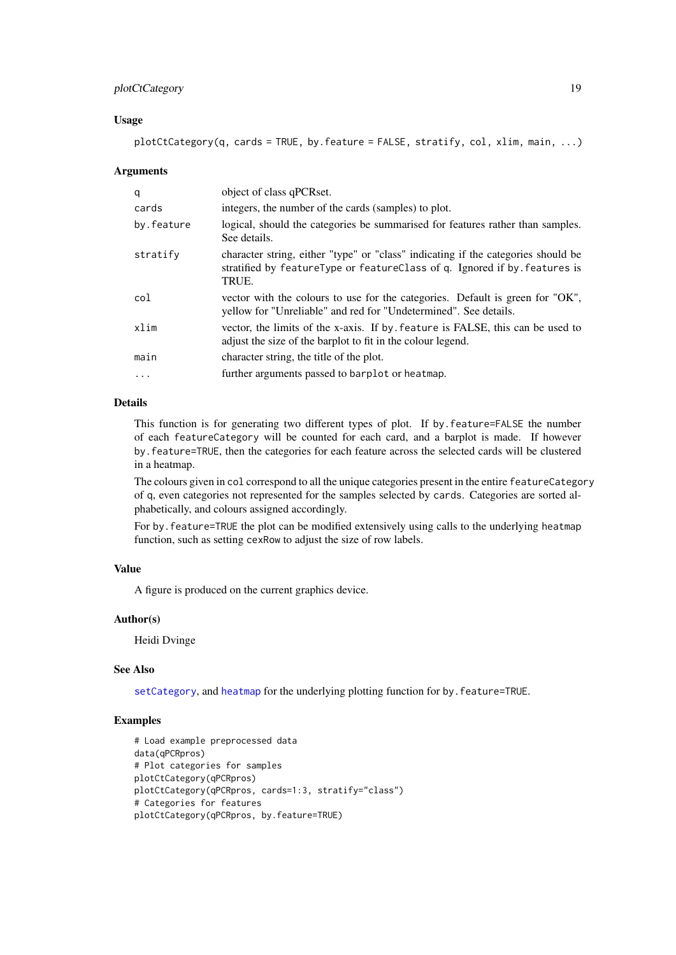#### <span id="page-18-0"></span>plotCtCategory 19

#### Usage

plotCtCategory(q, cards = TRUE, by.feature = FALSE, stratify, col, xlim, main, ...)

#### Arguments

| q          | object of class qPCRset.                                                                                                                                                |
|------------|-------------------------------------------------------------------------------------------------------------------------------------------------------------------------|
| cards      | integers, the number of the cards (samples) to plot.                                                                                                                    |
| by.feature | logical, should the categories be summarised for features rather than samples.<br>See details.                                                                          |
| stratify   | character string, either "type" or "class" indicating if the categories should be<br>stratified by featureType or featureClass of q. Ignored if by features is<br>TRUE. |
| col        | vector with the colours to use for the categories. Default is green for "OK",<br>yellow for "Unreliable" and red for "Undetermined". See details.                       |
| xlim       | vector, the limits of the x-axis. If by feature is FALSE, this can be used to<br>adjust the size of the barplot to fit in the colour legend.                            |
| main       | character string, the title of the plot.                                                                                                                                |
| $\cdot$    | further arguments passed to barplot or heatmap.                                                                                                                         |

# Details

This function is for generating two different types of plot. If by.feature=FALSE the number of each featureCategory will be counted for each card, and a barplot is made. If however by.feature=TRUE, then the categories for each feature across the selected cards will be clustered in a heatmap.

The colours given in col correspond to all the unique categories present in the entire featureCategory of q, even categories not represented for the samples selected by cards. Categories are sorted alphabetically, and colours assigned accordingly.

For by.feature=TRUE the plot can be modified extensively using calls to the underlying heatmap function, such as setting cexRow to adjust the size of row labels.

# Value

A figure is produced on the current graphics device.

# Author(s)

Heidi Dvinge

# See Also

[setCategory](#page-42-1), and [heatmap](#page-0-0) for the underlying plotting function for by.feature=TRUE.

```
# Load example preprocessed data
data(qPCRpros)
# Plot categories for samples
plotCtCategory(qPCRpros)
plotCtCategory(qPCRpros, cards=1:3, stratify="class")
# Categories for features
plotCtCategory(qPCRpros, by.feature=TRUE)
```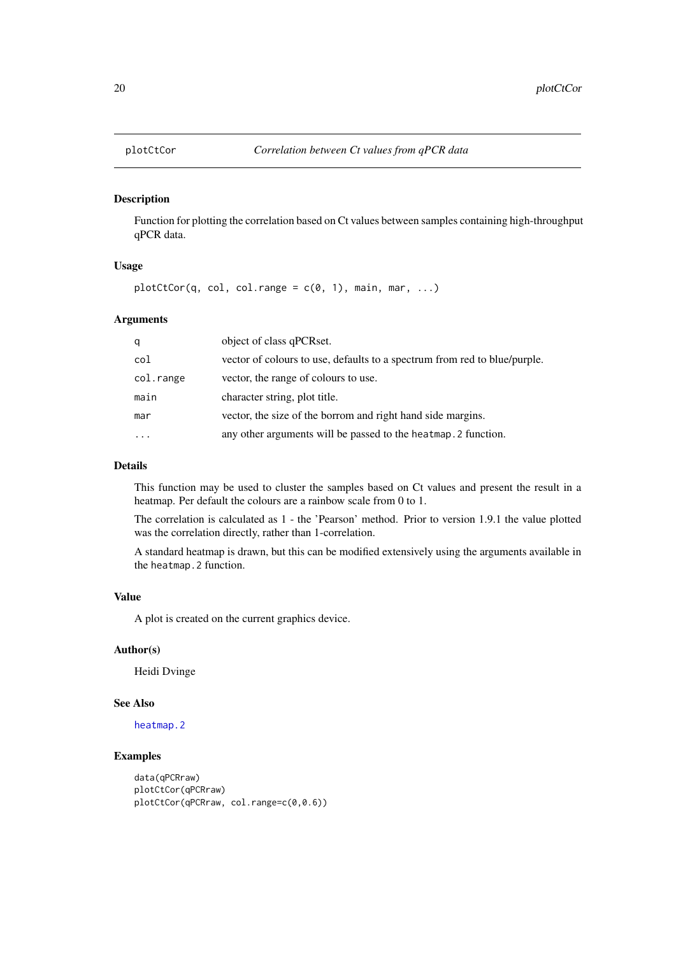<span id="page-19-0"></span>

Function for plotting the correlation based on Ct values between samples containing high-throughput qPCR data.

# Usage

 $plotCtCor(q, col, col.random) = c(0, 1), main, mar, ...)$ 

# Arguments

| q         | object of class qPCRset.                                                  |
|-----------|---------------------------------------------------------------------------|
| col       | vector of colours to use, defaults to a spectrum from red to blue/purple. |
| col.range | vector, the range of colours to use.                                      |
| main      | character string, plot title.                                             |
| mar       | vector, the size of the borrom and right hand side margins.               |
| $\cdots$  | any other arguments will be passed to the heatmap. 2 function.            |

# Details

This function may be used to cluster the samples based on Ct values and present the result in a heatmap. Per default the colours are a rainbow scale from 0 to 1.

The correlation is calculated as 1 - the 'Pearson' method. Prior to version 1.9.1 the value plotted was the correlation directly, rather than 1-correlation.

A standard heatmap is drawn, but this can be modified extensively using the arguments available in the heatmap.2 function.

# Value

A plot is created on the current graphics device.

# Author(s)

Heidi Dvinge

# See Also

[heatmap.2](#page-0-0)

```
data(qPCRraw)
plotCtCor(qPCRraw)
plotCtCor(qPCRraw, col.range=c(0,0.6))
```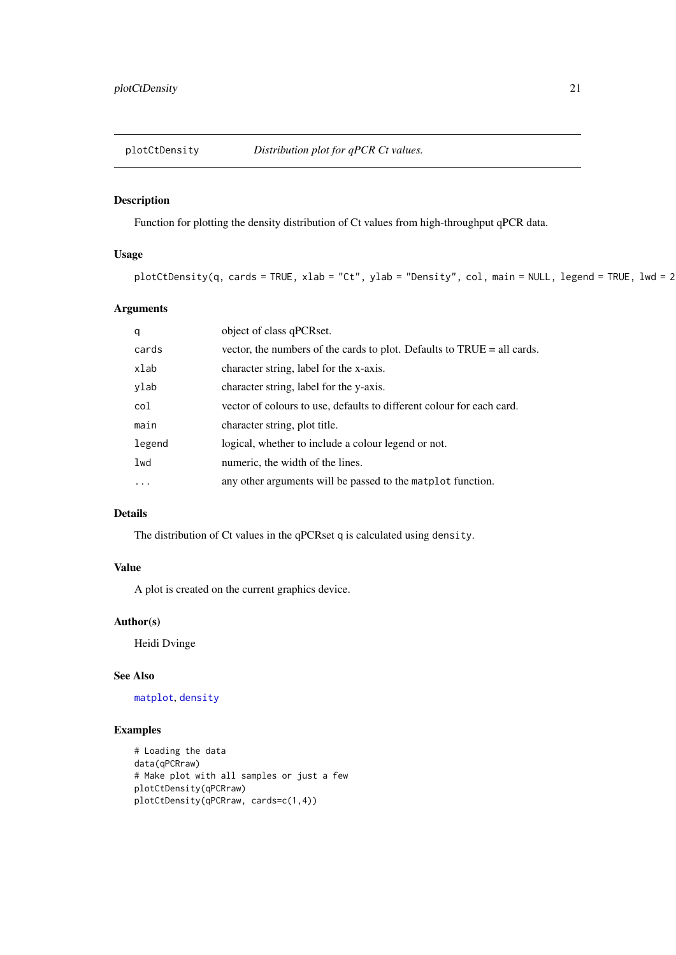<span id="page-20-1"></span><span id="page-20-0"></span>

Function for plotting the density distribution of Ct values from high-throughput qPCR data.

# Usage

```
plotCtDensity(q, cards = TRUE, xlab = "Ct", ylab = "Density", col, main = NULL, legend = TRUE, lwd = 2
```
# Arguments

| q      | object of class qPCRset.                                                |
|--------|-------------------------------------------------------------------------|
| cards  | vector, the numbers of the cards to plot. Defaults to TRUE = all cards. |
| xlab   | character string, label for the x-axis.                                 |
| ylab   | character string, label for the y-axis.                                 |
| col    | vector of colours to use, defaults to different colour for each card.   |
| main   | character string, plot title.                                           |
| legend | logical, whether to include a colour legend or not.                     |
| lwd    | numeric, the width of the lines.                                        |
| .      | any other arguments will be passed to the matplot function.             |

# Details

The distribution of Ct values in the qPCRset q is calculated using density.

# Value

A plot is created on the current graphics device.

# Author(s)

Heidi Dvinge

# See Also

[matplot](#page-0-0), [density](#page-0-0)

```
# Loading the data
data(qPCRraw)
# Make plot with all samples or just a few
plotCtDensity(qPCRraw)
plotCtDensity(qPCRraw, cards=c(1,4))
```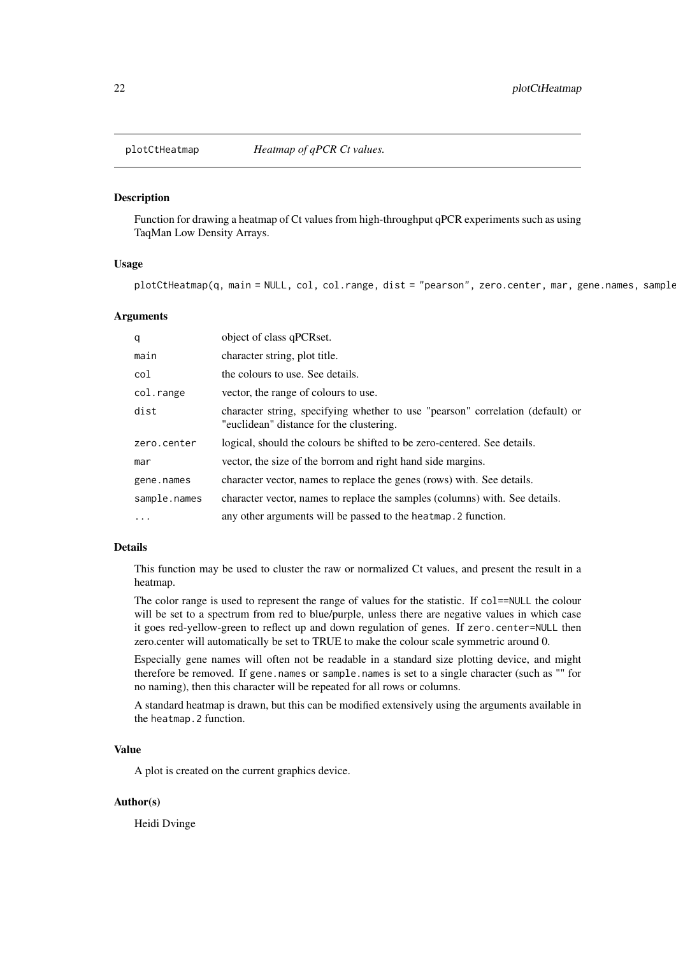<span id="page-21-0"></span>

Function for drawing a heatmap of Ct values from high-throughput qPCR experiments such as using TaqMan Low Density Arrays.

# Usage

plotCtHeatmap(q, main = NULL, col, col.range, dist = "pearson", zero.center, mar, gene.names, sample

# Arguments

| q            | object of class qPCRset.                                                                                                   |
|--------------|----------------------------------------------------------------------------------------------------------------------------|
| main         | character string, plot title.                                                                                              |
| col          | the colours to use. See details.                                                                                           |
| col.range    | vector, the range of colours to use.                                                                                       |
| dist         | character string, specifying whether to use "pearson" correlation (default) or<br>"euclidean" distance for the clustering. |
| zero.center  | logical, should the colours be shifted to be zero-centered. See details.                                                   |
| mar          | vector, the size of the borrom and right hand side margins.                                                                |
| gene.names   | character vector, names to replace the genes (rows) with. See details.                                                     |
| sample.names | character vector, names to replace the samples (columns) with. See details.                                                |
| $\ddotsc$    | any other arguments will be passed to the heatmap. 2 function.                                                             |

#### Details

This function may be used to cluster the raw or normalized Ct values, and present the result in a heatmap.

The color range is used to represent the range of values for the statistic. If col==NULL the colour will be set to a spectrum from red to blue/purple, unless there are negative values in which case it goes red-yellow-green to reflect up and down regulation of genes. If zero.center=NULL then zero.center will automatically be set to TRUE to make the colour scale symmetric around 0.

Especially gene names will often not be readable in a standard size plotting device, and might therefore be removed. If gene.names or sample.names is set to a single character (such as "" for no naming), then this character will be repeated for all rows or columns.

A standard heatmap is drawn, but this can be modified extensively using the arguments available in the heatmap.2 function.

# Value

A plot is created on the current graphics device.

#### Author(s)

Heidi Dvinge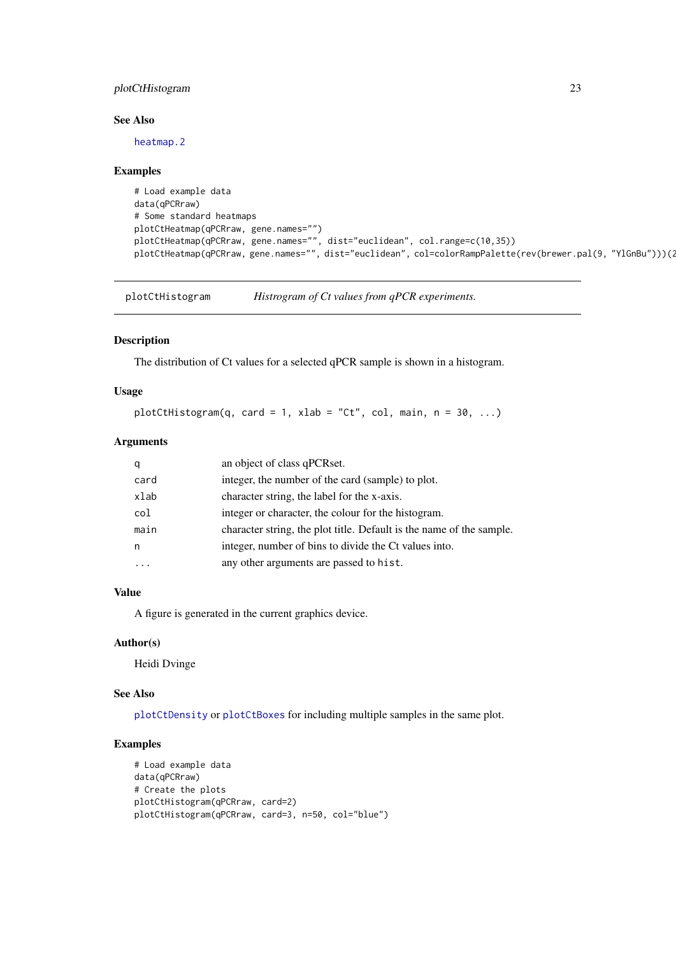#### <span id="page-22-0"></span>plotCtHistogram 23

# See Also

[heatmap.2](#page-0-0)

# Examples

```
# Load example data
data(qPCRraw)
# Some standard heatmaps
plotCtHeatmap(qPCRraw, gene.names="")
plotCtHeatmap(qPCRraw, gene.names="", dist="euclidean", col.range=c(10,35))
plotCtHeatmap(qPCRraw, gene.names="", dist="euclidean", col=colorRampPalette(rev(brewer.pal(9, "YlGnBu")))(20))
```
plotCtHistogram *Histrogram of Ct values from qPCR experiments.*

# Description

The distribution of Ct values for a selected qPCR sample is shown in a histogram.

# Usage

```
plotCtHistogram(q, card = 1, xlab = "Ct", col, main, n = 30, ...)
```
# Arguments

| q    | an object of class qPCRset.                                          |
|------|----------------------------------------------------------------------|
| card | integer, the number of the card (sample) to plot.                    |
| xlab | character string, the label for the x-axis.                          |
| col  | integer or character, the colour for the histogram.                  |
| main | character string, the plot title. Default is the name of the sample. |
| n    | integer, number of bins to divide the Ct values into.                |
|      | any other arguments are passed to hist.                              |

# Value

A figure is generated in the current graphics device.

#### Author(s)

Heidi Dvinge

# See Also

[plotCtDensity](#page-20-1) or [plotCtBoxes](#page-15-1) for including multiple samples in the same plot.

```
# Load example data
data(qPCRraw)
# Create the plots
plotCtHistogram(qPCRraw, card=2)
plotCtHistogram(qPCRraw, card=3, n=50, col="blue")
```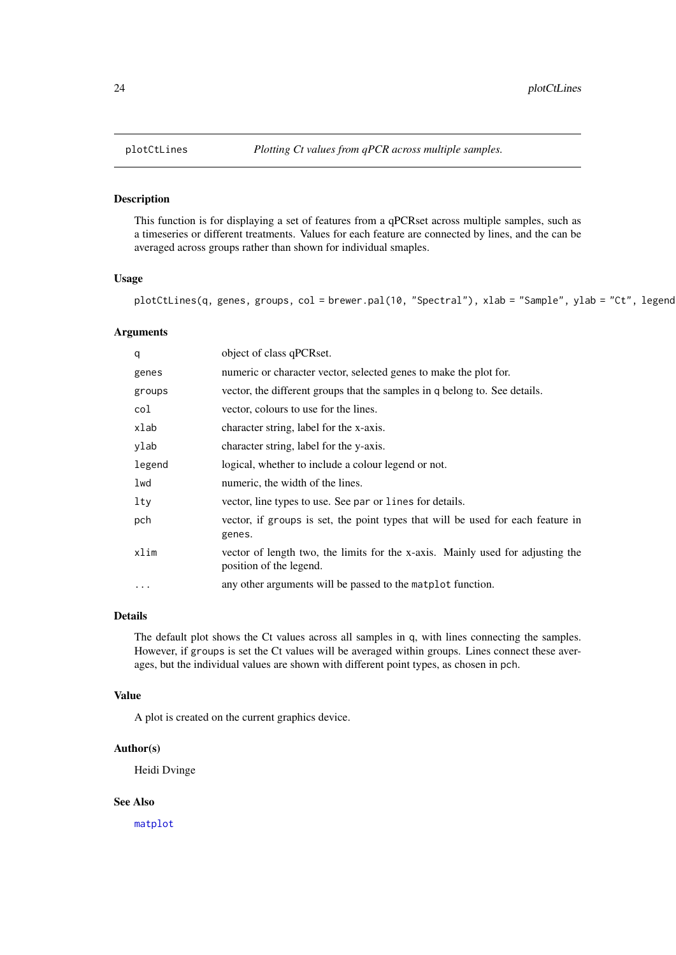<span id="page-23-0"></span>This function is for displaying a set of features from a qPCRset across multiple samples, such as a timeseries or different treatments. Values for each feature are connected by lines, and the can be averaged across groups rather than shown for individual smaples.

# Usage

 $plotCtlines(q, genes, groups, col = brewer.pal(10, "Spectral"), xlab = "Sample", ylab = "Ct", legend$ 

#### Arguments

| q      | object of class qPCRset.                                                                                  |
|--------|-----------------------------------------------------------------------------------------------------------|
| genes  | numeric or character vector, selected genes to make the plot for.                                         |
| groups | vector, the different groups that the samples in q belong to. See details.                                |
| col    | vector, colours to use for the lines.                                                                     |
| xlab   | character string, label for the x-axis.                                                                   |
| ylab   | character string, label for the y-axis.                                                                   |
| legend | logical, whether to include a colour legend or not.                                                       |
| lwd    | numeric, the width of the lines.                                                                          |
| lty    | vector, line types to use. See par or lines for details.                                                  |
| pch    | vector, if groups is set, the point types that will be used for each feature in<br>genes.                 |
| xlim   | vector of length two, the limits for the x-axis. Mainly used for adjusting the<br>position of the legend. |
| .      | any other arguments will be passed to the matplot function.                                               |

# Details

The default plot shows the Ct values across all samples in q, with lines connecting the samples. However, if groups is set the Ct values will be averaged within groups. Lines connect these averages, but the individual values are shown with different point types, as chosen in pch.

# Value

A plot is created on the current graphics device.

#### Author(s)

Heidi Dvinge

# See Also

[matplot](#page-0-0)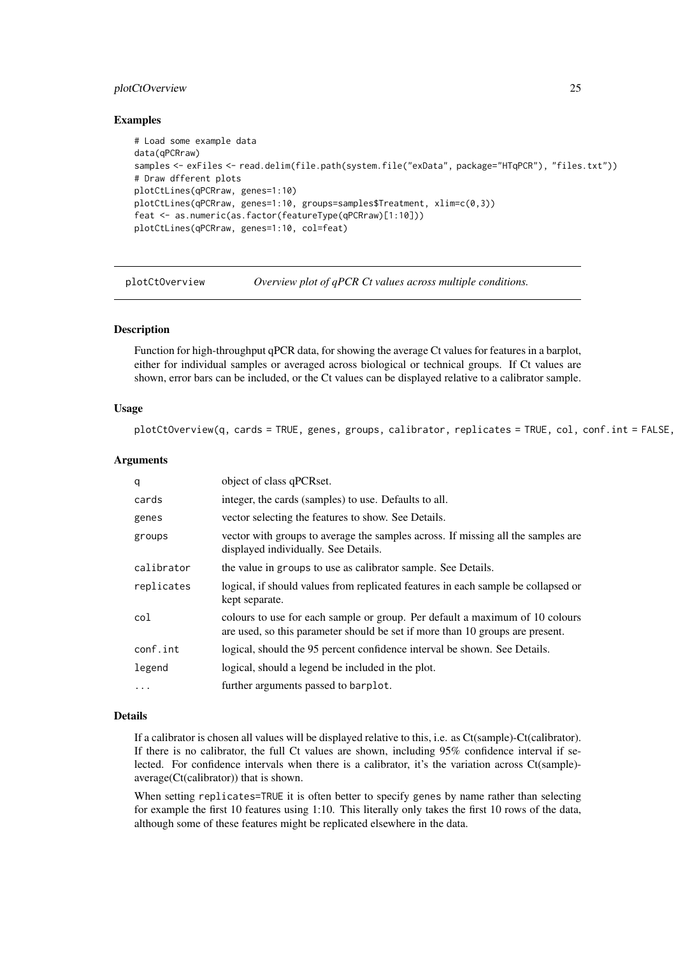#### <span id="page-24-0"></span>plotCtOverview 25

#### Examples

```
# Load some example data
data(qPCRraw)
samples <- exFiles <- read.delim(file.path(system.file("exData", package="HTqPCR"), "files.txt"))
# Draw dfferent plots
plotCtLines(qPCRraw, genes=1:10)
plotCtLines(qPCRraw, genes=1:10, groups=samples$Treatment, xlim=c(0,3))
feat <- as.numeric(as.factor(featureType(qPCRraw)[1:10]))
plotCtLines(qPCRraw, genes=1:10, col=feat)
```
<span id="page-24-1"></span>plotCtOverview *Overview plot of qPCR Ct values across multiple conditions.*

#### Description

Function for high-throughput qPCR data, for showing the average Ct values for features in a barplot, either for individual samples or averaged across biological or technical groups. If Ct values are shown, error bars can be included, or the Ct values can be displayed relative to a calibrator sample.

#### Usage

 $plotCtOverview(q, cards = TRUE, genes, groups, calibrate, replicates = TRUE, col, conf.int = FALSE,$ 

### Arguments

| q          | object of class qPCRset.                                                                                                                                      |
|------------|---------------------------------------------------------------------------------------------------------------------------------------------------------------|
| cards      | integer, the cards (samples) to use. Defaults to all.                                                                                                         |
| genes      | vector selecting the features to show. See Details.                                                                                                           |
| groups     | vector with groups to average the samples across. If missing all the samples are<br>displayed individually. See Details.                                      |
| calibrator | the value in groups to use as calibrator sample. See Details.                                                                                                 |
| replicates | logical, if should values from replicated features in each sample be collapsed or<br>kept separate.                                                           |
| col        | colours to use for each sample or group. Per default a maximum of 10 colours<br>are used, so this parameter should be set if more than 10 groups are present. |
| conf.int   | logical, should the 95 percent confidence interval be shown. See Details.                                                                                     |
| legend     | logical, should a legend be included in the plot.                                                                                                             |
| $\ddotsc$  | further arguments passed to barplot.                                                                                                                          |

# Details

If a calibrator is chosen all values will be displayed relative to this, i.e. as Ct(sample)-Ct(calibrator). If there is no calibrator, the full Ct values are shown, including 95% confidence interval if selected. For confidence intervals when there is a calibrator, it's the variation across Ct(sample) average(Ct(calibrator)) that is shown.

When setting replicates=TRUE it is often better to specify genes by name rather than selecting for example the first 10 features using 1:10. This literally only takes the first 10 rows of the data, although some of these features might be replicated elsewhere in the data.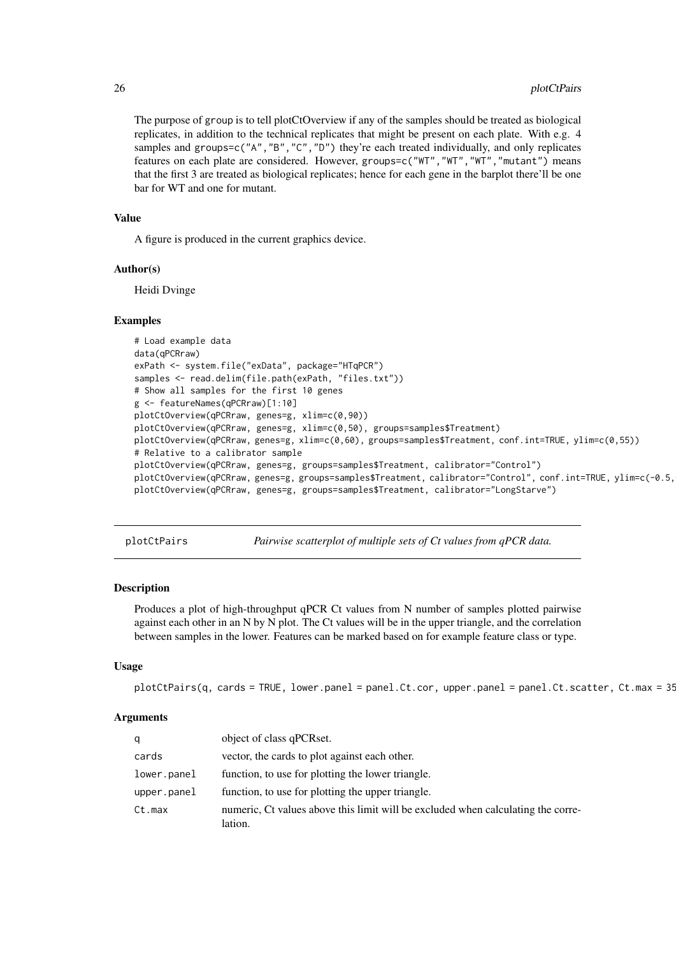The purpose of group is to tell plotCtOverview if any of the samples should be treated as biological replicates, in addition to the technical replicates that might be present on each plate. With e.g. 4 samples and groups=c("A", "B", "C", "D") they're each treated individually, and only replicates features on each plate are considered. However, groups=c("WT","WT","WT","mutant") means that the first 3 are treated as biological replicates; hence for each gene in the barplot there'll be one bar for WT and one for mutant.

# Value

A figure is produced in the current graphics device.

#### Author(s)

Heidi Dvinge

#### Examples

```
# Load example data
data(qPCRraw)
exPath <- system.file("exData", package="HTqPCR")
samples <- read.delim(file.path(exPath, "files.txt"))
# Show all samples for the first 10 genes
g <- featureNames(qPCRraw)[1:10]
plotCtOverview(qPCRraw, genes=g, xlim=c(0,90))
plotCtOverview(qPCRraw, genes=g, xlim=c(0,50), groups=samples$Treatment)
plotCtOverview(qPCRraw, genes=g, xlim=c(0,60), groups=samples$Treatment, conf.int=TRUE, ylim=c(0,55))
# Relative to a calibrator sample
plotCtOverview(qPCRraw, genes=g, groups=samples$Treatment, calibrator="Control")
plotCtOverview(qPCRraw, genes=g, groups=samples$Treatment, calibrator="Control", conf.int=TRUE, ylim=c(-0.5,
plotCtOverview(qPCRraw, genes=g, groups=samples$Treatment, calibrator="LongStarve")
```
plotCtPairs *Pairwise scatterplot of multiple sets of Ct values from qPCR data.*

#### Description

Produces a plot of high-throughput qPCR Ct values from N number of samples plotted pairwise against each other in an N by N plot. The Ct values will be in the upper triangle, and the correlation between samples in the lower. Features can be marked based on for example feature class or type.

# Usage

```
plotCtPairs(q, cards = TRUE, lower.panel = panel.Ct.cor, upper.panel = panel.Ct.cat.
```

| q           | object of class qPCRset.                                                                    |
|-------------|---------------------------------------------------------------------------------------------|
| cards       | vector, the cards to plot against each other.                                               |
| lower.panel | function, to use for plotting the lower triangle.                                           |
| upper.png   | function, to use for plotting the upper triangle.                                           |
| Ct.max      | numeric. Ct values above this limit will be excluded when calculating the corre-<br>lation. |

<span id="page-25-0"></span>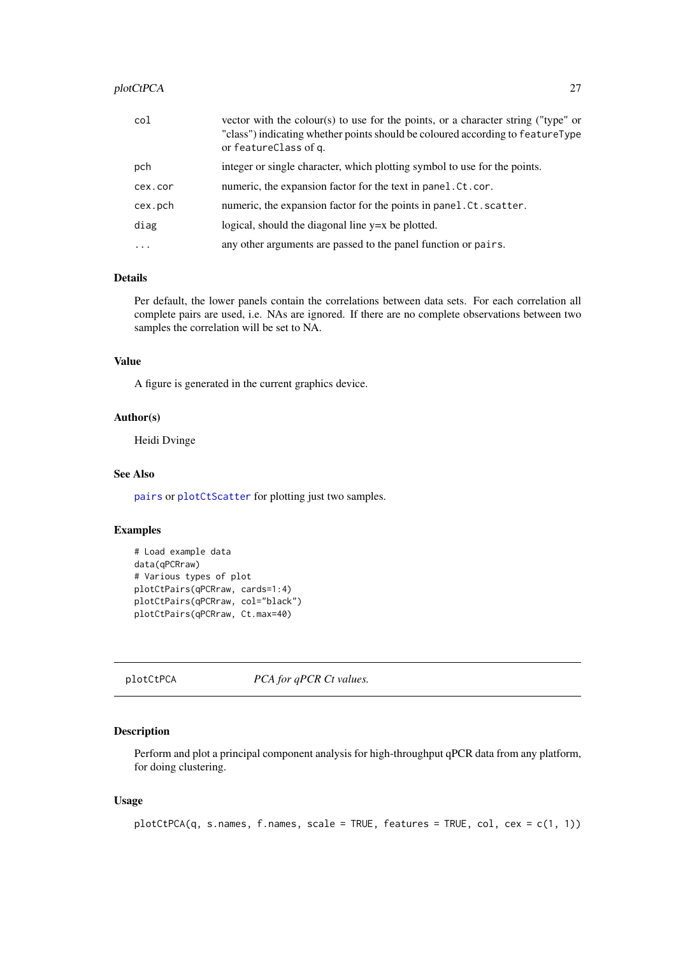# <span id="page-26-0"></span>plotCtPCA 27

| col      | vector with the colour(s) to use for the points, or a character string ("type" or<br>"class") indicating whether points should be coloured according to featureType<br>or featureClass of q. |
|----------|----------------------------------------------------------------------------------------------------------------------------------------------------------------------------------------------|
| pch      | integer or single character, which plotting symbol to use for the points.                                                                                                                    |
| cex.cor  | numeric, the expansion factor for the text in panel. Ct. cor.                                                                                                                                |
| cex.pch  | numeric, the expansion factor for the points in panel.Ct.scatter.                                                                                                                            |
| diag     | logical, should the diagonal line $y=x$ be plotted.                                                                                                                                          |
| $\cdots$ | any other arguments are passed to the panel function or pairs.                                                                                                                               |

# Details

Per default, the lower panels contain the correlations between data sets. For each correlation all complete pairs are used, i.e. NAs are ignored. If there are no complete observations between two samples the correlation will be set to NA.

# Value

A figure is generated in the current graphics device.

# Author(s)

Heidi Dvinge

#### See Also

[pairs](#page-0-0) or [plotCtScatter](#page-30-1) for plotting just two samples.

# Examples

```
# Load example data
data(qPCRraw)
# Various types of plot
plotCtPairs(qPCRraw, cards=1:4)
plotCtPairs(qPCRraw, col="black")
plotCtPairs(qPCRraw, Ct.max=40)
```
plotCtPCA *PCA for qPCR Ct values.*

# Description

Perform and plot a principal component analysis for high-throughput qPCR data from any platform, for doing clustering.

# Usage

```
plotCtPCA(q, s.names, f.names, scale = TRUE, features = TRUE, col, cex = c(1, 1))
```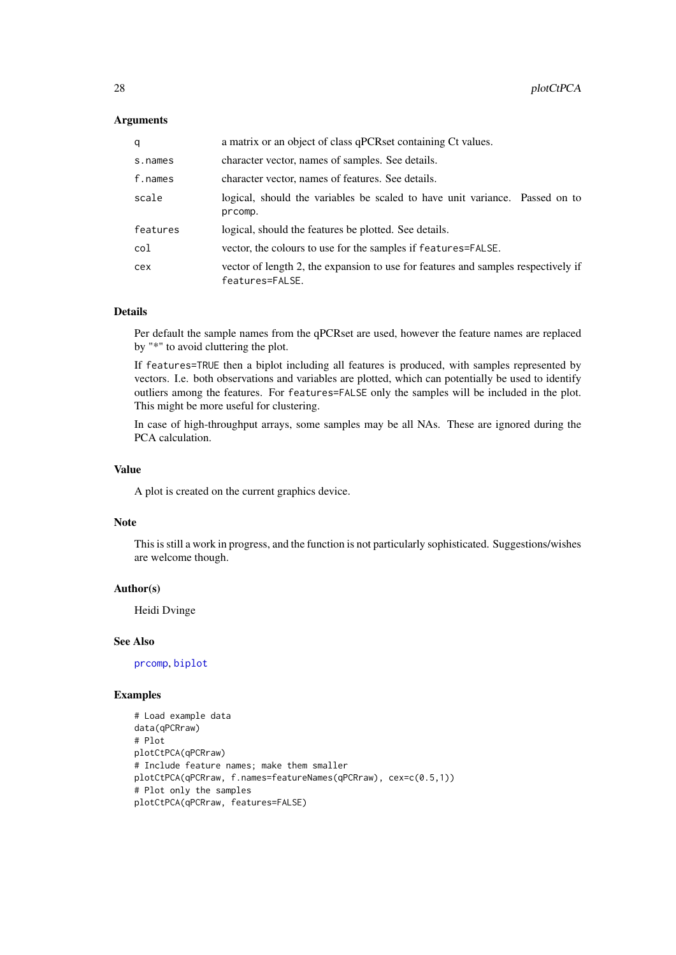# <span id="page-27-0"></span>Arguments

| a        | a matrix or an object of class qPCRset containing Ct values.                                         |
|----------|------------------------------------------------------------------------------------------------------|
| s.names  | character vector, names of samples. See details.                                                     |
| f.names  | character vector, names of features. See details.                                                    |
| scale    | logical, should the variables be scaled to have unit variance. Passed on to<br>prcomp.               |
| features | logical, should the features be plotted. See details.                                                |
| col      | vector, the colours to use for the samples if features=FALSE.                                        |
| cex      | vector of length 2, the expansion to use for features and samples respectively if<br>features=FALSE. |

#### Details

Per default the sample names from the qPCRset are used, however the feature names are replaced by "\*" to avoid cluttering the plot.

If features=TRUE then a biplot including all features is produced, with samples represented by vectors. I.e. both observations and variables are plotted, which can potentially be used to identify outliers among the features. For features=FALSE only the samples will be included in the plot. This might be more useful for clustering.

In case of high-throughput arrays, some samples may be all NAs. These are ignored during the PCA calculation.

# Value

A plot is created on the current graphics device.

#### Note

This is still a work in progress, and the function is not particularly sophisticated. Suggestions/wishes are welcome though.

#### Author(s)

Heidi Dvinge

# See Also

[prcomp](#page-0-0), [biplot](#page-0-0)

```
# Load example data
data(qPCRraw)
# Plot
plotCtPCA(qPCRraw)
# Include feature names; make them smaller
plotCtPCA(qPCRraw, f.names=featureNames(qPCRraw), cex=c(0.5,1))
# Plot only the samples
plotCtPCA(qPCRraw, features=FALSE)
```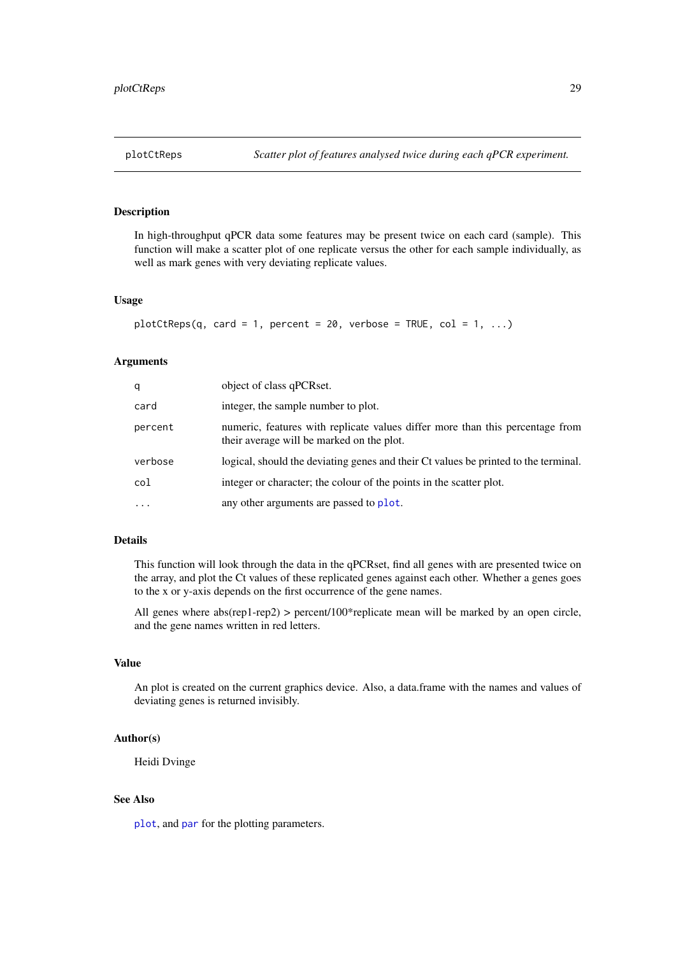<span id="page-28-1"></span><span id="page-28-0"></span>In high-throughput qPCR data some features may be present twice on each card (sample). This function will make a scatter plot of one replicate versus the other for each sample individually, as well as mark genes with very deviating replicate values.

#### Usage

```
plotCtReps(q, card = 1, percent = 20, verbose = TRUE, col = 1, ...)
```
#### Arguments

| q         | object of class qPCRset.                                                                                                   |
|-----------|----------------------------------------------------------------------------------------------------------------------------|
| card      | integer, the sample number to plot.                                                                                        |
| percent   | numeric, features with replicate values differ more than this percentage from<br>their average will be marked on the plot. |
| verbose   | logical, should the deviating genes and their Ct values be printed to the terminal.                                        |
| col       | integer or character; the colour of the points in the scatter plot.                                                        |
| $\ddotsc$ | any other arguments are passed to plot.                                                                                    |

# Details

This function will look through the data in the qPCRset, find all genes with are presented twice on the array, and plot the Ct values of these replicated genes against each other. Whether a genes goes to the x or y-axis depends on the first occurrence of the gene names.

All genes where abs(rep1-rep2) > percent/100\*replicate mean will be marked by an open circle, and the gene names written in red letters.

# Value

An plot is created on the current graphics device. Also, a data.frame with the names and values of deviating genes is returned invisibly.

# Author(s)

Heidi Dvinge

# See Also

[plot](#page-0-0), and [par](#page-0-0) for the plotting parameters.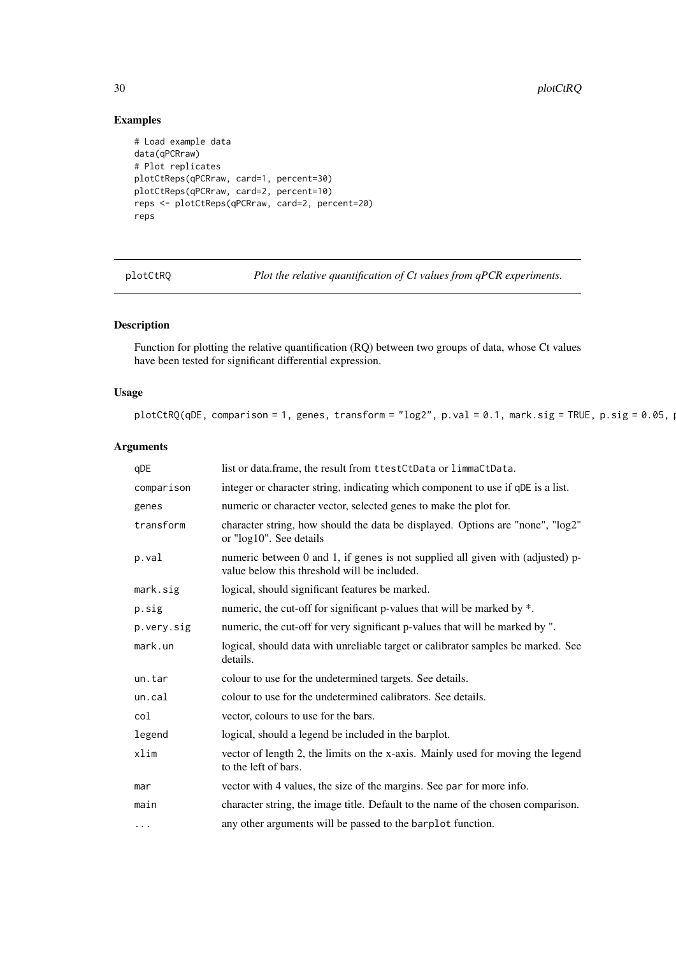$30$  plotCtRQ

# Examples

```
# Load example data
data(qPCRraw)
# Plot replicates
plotCtReps(qPCRraw, card=1, percent=30)
plotCtReps(qPCRraw, card=2, percent=10)
reps <- plotCtReps(qPCRraw, card=2, percent=20)
reps
```
plotCtRQ *Plot the relative quantification of Ct values from qPCR experiments.*

# Description

Function for plotting the relative quantification (RQ) between two groups of data, whose Ct values have been tested for significant differential expression.

# Usage

```
plotCtRQ(qDE, comparison = 1, genes, transform = "log2", p.val = 0.1, mark.sig = TRUE, p.sig = 0.05, p.
```

| qDE        | list or data.frame, the result from ttestCtData or limmaCtData.                                                                |
|------------|--------------------------------------------------------------------------------------------------------------------------------|
| comparison | integer or character string, indicating which component to use if qDE is a list.                                               |
| genes      | numeric or character vector, selected genes to make the plot for.                                                              |
| transform  | character string, how should the data be displayed. Options are "none", "log2"<br>or "log10". See details                      |
| p.val      | numeric between 0 and 1, if genes is not supplied all given with (adjusted) p-<br>value below this threshold will be included. |
| mark.sig   | logical, should significant features be marked.                                                                                |
| p.sig      | numeric, the cut-off for significant p-values that will be marked by *.                                                        |
| p.very.sig | numeric, the cut-off for very significant p-values that will be marked by ".                                                   |
| mark.un    | logical, should data with unreliable target or calibrator samples be marked. See<br>details.                                   |
| un.tar     | colour to use for the undetermined targets. See details.                                                                       |
| un.cal     | colour to use for the undetermined calibrators. See details.                                                                   |
| col        | vector, colours to use for the bars.                                                                                           |
| legend     | logical, should a legend be included in the barplot.                                                                           |
| xlim       | vector of length 2, the limits on the x-axis. Mainly used for moving the legend<br>to the left of bars.                        |
| mar        | vector with 4 values, the size of the margins. See par for more info.                                                          |
| main       | character string, the image title. Default to the name of the chosen comparison.                                               |
| $\ddotsc$  | any other arguments will be passed to the barplot function.                                                                    |

<span id="page-29-0"></span>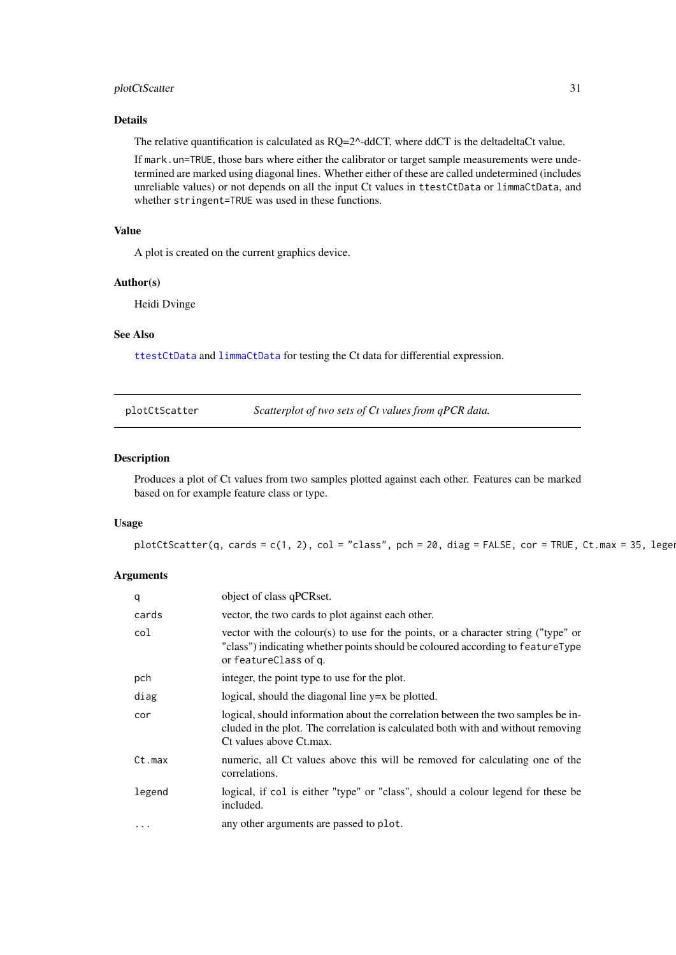#### <span id="page-30-0"></span>plotCtScatter 31

#### Details

The relative quantification is calculated as RQ=2^-ddCT, where ddCT is the deltadeltaCt value.

If mark.un=TRUE, those bars where either the calibrator or target sample measurements were undetermined are marked using diagonal lines. Whether either of these are called undetermined (includes unreliable values) or not depends on all the input Ct values in ttestCtData or limmaCtData, and whether stringent=TRUE was used in these functions.

# Value

A plot is created on the current graphics device.

#### Author(s)

Heidi Dvinge

# See Also

[ttestCtData](#page-43-1) and [limmaCtData](#page-9-1) for testing the Ct data for differential expression.

<span id="page-30-1"></span>plotCtScatter *Scatterplot of two sets of Ct values from qPCR data.*

#### Description

Produces a plot of Ct values from two samples plotted against each other. Features can be marked based on for example feature class or type.

#### Usage

```
plotCtScatter(q, cards = c(1, 2), col = "class", pch = 20, diag = FALSE, cor = TRUE, Ct.max = 35, legen)
```

| q      | object of class qPCRset.                                                                                                                                                                        |
|--------|-------------------------------------------------------------------------------------------------------------------------------------------------------------------------------------------------|
| cards  | vector, the two cards to plot against each other.                                                                                                                                               |
| col    | vector with the colour(s) to use for the points, or a character string ("type" or<br>"class") indicating whether points should be coloured according to featureType<br>or featureClass of q.    |
| pch    | integer, the point type to use for the plot.                                                                                                                                                    |
| diag   | logical, should the diagonal line $y=x$ be plotted.                                                                                                                                             |
| cor    | logical, should information about the correlation between the two samples be in-<br>cluded in the plot. The correlation is calculated both with and without removing<br>Ct values above Ct.max. |
| Ct.max | numeric, all Ct values above this will be removed for calculating one of the<br>correlations.                                                                                                   |
| legend | logical, if col is either "type" or "class", should a colour legend for these be<br>included.                                                                                                   |
|        | any other arguments are passed to plot.                                                                                                                                                         |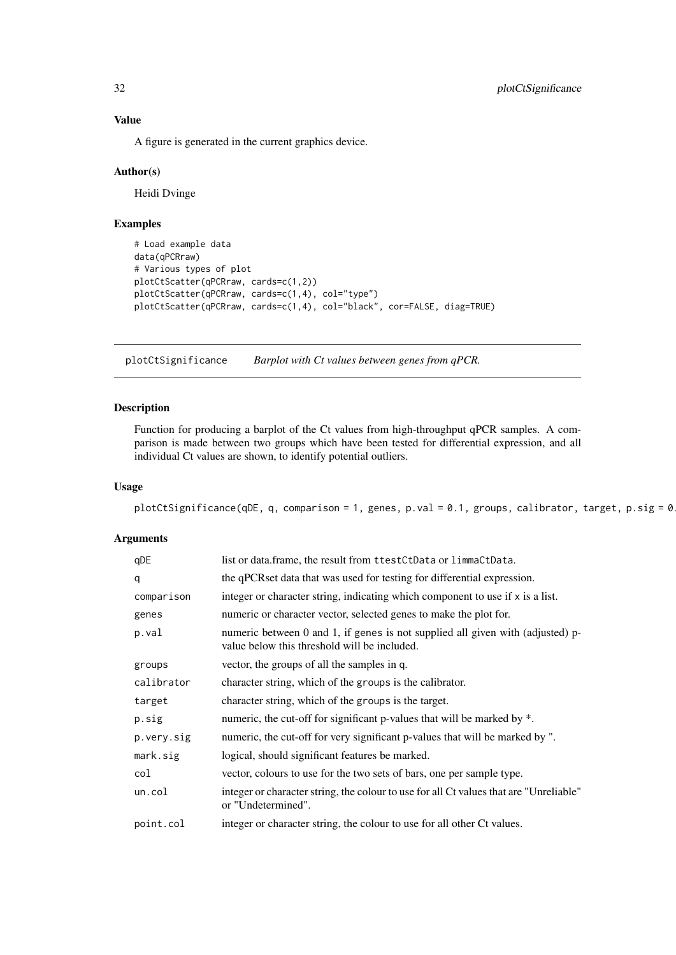A figure is generated in the current graphics device.

#### Author(s)

Heidi Dvinge

# Examples

```
# Load example data
data(qPCRraw)
# Various types of plot
plotCtScatter(qPCRraw, cards=c(1,2))
plotCtScatter(qPCRraw, cards=c(1,4), col="type")
plotCtScatter(qPCRraw, cards=c(1,4), col="black", cor=FALSE, diag=TRUE)
```
<span id="page-31-1"></span>plotCtSignificance *Barplot with Ct values between genes from qPCR.*

# Description

Function for producing a barplot of the Ct values from high-throughput qPCR samples. A comparison is made between two groups which have been tested for differential expression, and all individual Ct values are shown, to identify potential outliers.

#### Usage

```
plotCtSignificance(qDE, q, comparison = 1, genes, p.val = 0.1, groups, calibrator, target, p.sig = 0
```

| qDE        | list or data.frame, the result from ttestCtData or limmaCtData.                                                                |
|------------|--------------------------------------------------------------------------------------------------------------------------------|
| q          | the qPCRset data that was used for testing for differential expression.                                                        |
| comparison | integer or character string, indicating which component to use if $x$ is a list.                                               |
| genes      | numeric or character vector, selected genes to make the plot for.                                                              |
| p.val      | numeric between 0 and 1, if genes is not supplied all given with (adjusted) p-<br>value below this threshold will be included. |
| groups     | vector, the groups of all the samples in q.                                                                                    |
| calibrator | character string, which of the groups is the calibrator.                                                                       |
| target     | character string, which of the groups is the target.                                                                           |
| p.sig      | numeric, the cut-off for significant p-values that will be marked by *.                                                        |
| p.very.sig | numeric, the cut-off for very significant p-values that will be marked by ".                                                   |
| mark.sig   | logical, should significant features be marked.                                                                                |
| col        | vector, colours to use for the two sets of bars, one per sample type.                                                          |
| un.col     | integer or character string, the colour to use for all Ct values that are "Unreliable"<br>or "Undetermined".                   |
| point.col  | integer or character string, the colour to use for all other Ct values.                                                        |

<span id="page-31-0"></span>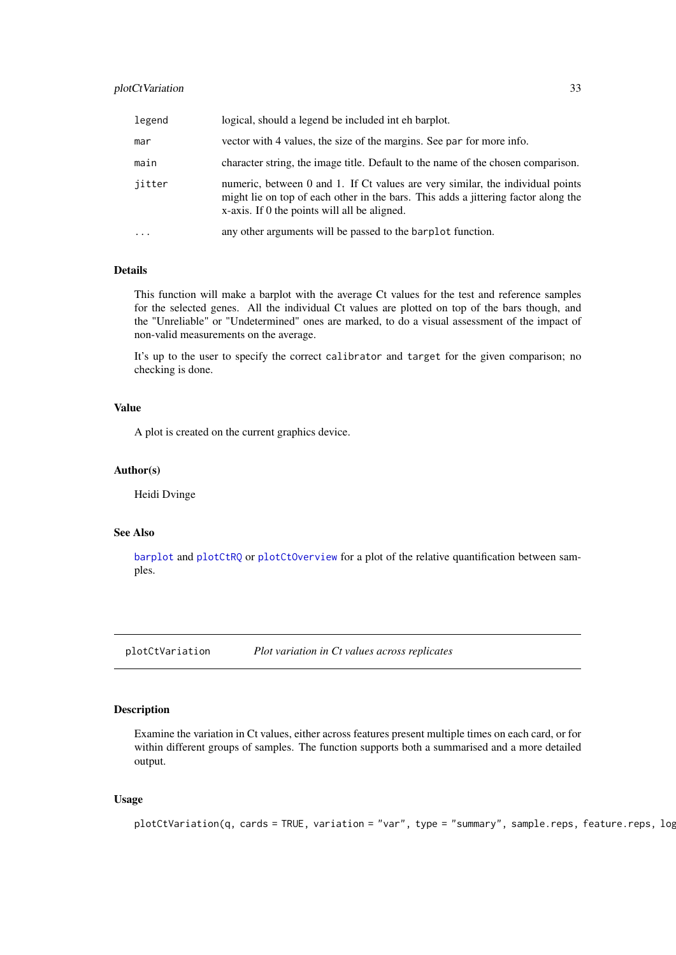#### <span id="page-32-0"></span>plotCtVariation 33

| legend    | logical, should a legend be included inter-                                                                                                                                                                          |
|-----------|----------------------------------------------------------------------------------------------------------------------------------------------------------------------------------------------------------------------|
| mar       | vector with 4 values, the size of the margins. See par for more info.                                                                                                                                                |
| main      | character string, the image title. Default to the name of the chosen comparison.                                                                                                                                     |
| jitter    | numeric, between 0 and 1. If Ct values are very similar, the individual points<br>might lie on top of each other in the bars. This adds a jittering factor along the<br>x-axis. If 0 the points will all be aligned. |
| $\ddotsc$ | any other arguments will be passed to the barplot function.                                                                                                                                                          |

#### Details

This function will make a barplot with the average Ct values for the test and reference samples for the selected genes. All the individual Ct values are plotted on top of the bars though, and the "Unreliable" or "Undetermined" ones are marked, to do a visual assessment of the impact of non-valid measurements on the average.

It's up to the user to specify the correct calibrator and target for the given comparison; no checking is done.

# Value

A plot is created on the current graphics device.

#### Author(s)

Heidi Dvinge

### See Also

[barplot](#page-0-0) and [plotCtRQ](#page-29-1) or [plotCtOverview](#page-24-1) for a plot of the relative quantification between samples.

plotCtVariation *Plot variation in Ct values across replicates*

#### Description

Examine the variation in Ct values, either across features present multiple times on each card, or for within different groups of samples. The function supports both a summarised and a more detailed output.

# Usage

```
plotCtVariation(q, cards = TRUE, variation = "var", type = "summary", sample.rep, e, feature.rep, log
```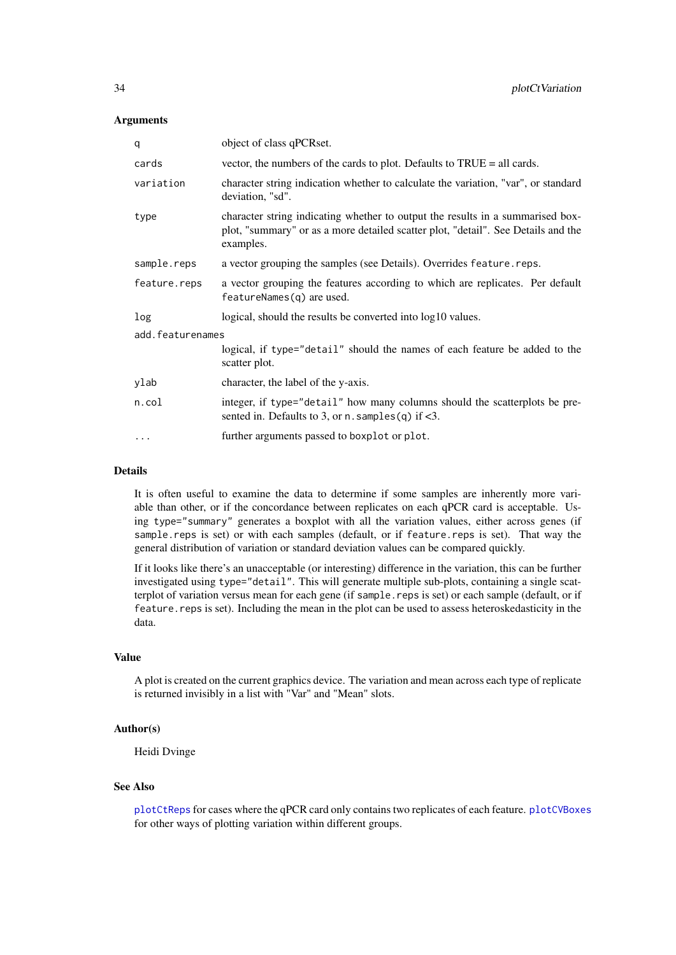# <span id="page-33-0"></span>Arguments

| q                | object of class qPCRset.                                                                                                                                                         |  |
|------------------|----------------------------------------------------------------------------------------------------------------------------------------------------------------------------------|--|
| cards            | vector, the numbers of the cards to plot. Defaults to TRUE = all cards.                                                                                                          |  |
| variation        | character string indication whether to calculate the variation, "var", or standard<br>deviation, "sd".                                                                           |  |
| type             | character string indicating whether to output the results in a summarised box-<br>plot, "summary" or as a more detailed scatter plot, "detail". See Details and the<br>examples. |  |
| sample.reps      | a vector grouping the samples (see Details). Overrides feature.reps.                                                                                                             |  |
| feature.reps     | a vector grouping the features according to which are replicates. Per default<br>featureNames(q) are used.                                                                       |  |
| log              | logical, should the results be converted into log10 values.                                                                                                                      |  |
| add.featurenames |                                                                                                                                                                                  |  |
|                  | logical, if type="detail" should the names of each feature be added to the<br>scatter plot.                                                                                      |  |
| ylab             | character, the label of the y-axis.                                                                                                                                              |  |
| n.col            | integer, if type="detail" how many columns should the scatterplots be pre-<br>sented in. Defaults to 3, or $n$ . samples(q) if <3.                                               |  |
| $\cdots$         | further arguments passed to boxplot or plot.                                                                                                                                     |  |

#### Details

It is often useful to examine the data to determine if some samples are inherently more variable than other, or if the concordance between replicates on each qPCR card is acceptable. Using type="summary" generates a boxplot with all the variation values, either across genes (if sample.reps is set) or with each samples (default, or if feature.reps is set). That way the general distribution of variation or standard deviation values can be compared quickly.

If it looks like there's an unacceptable (or interesting) difference in the variation, this can be further investigated using type="detail". This will generate multiple sub-plots, containing a single scatterplot of variation versus mean for each gene (if sample.reps is set) or each sample (default, or if feature.reps is set). Including the mean in the plot can be used to assess heteroskedasticity in the data.

#### Value

A plot is created on the current graphics device. The variation and mean across each type of replicate is returned invisibly in a list with "Var" and "Mean" slots.

# Author(s)

Heidi Dvinge

# See Also

[plotCtReps](#page-28-1) for cases where the qPCR card only contains two replicates of each feature. [plotCVBoxes](#page-34-1) for other ways of plotting variation within different groups.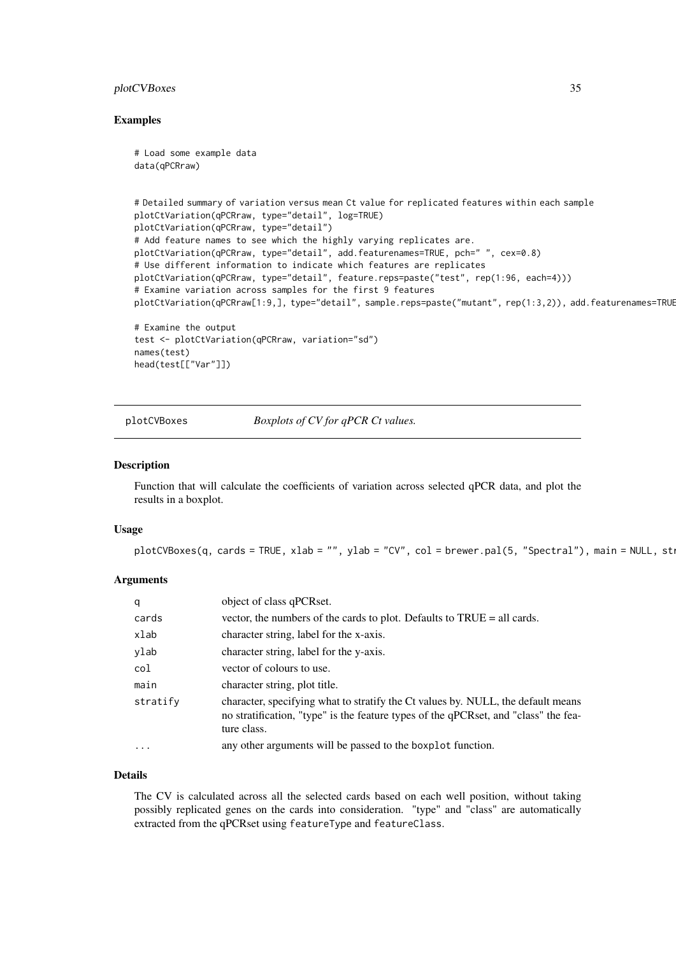#### <span id="page-34-0"></span>plotCVBoxes 35

#### Examples

```
# Load some example data
data(qPCRraw)
# Detailed summary of variation versus mean Ct value for replicated features within each sample
plotCtVariation(qPCRraw, type="detail", log=TRUE)
plotCtVariation(qPCRraw, type="detail")
# Add feature names to see which the highly varying replicates are.
plotCtVariation(qPCRraw, type="detail", add.featurenames=TRUE, pch=" ", cex=0.8)
# Use different information to indicate which features are replicates
plotCtVariation(qPCRraw, type="detail", feature.reps=paste("test", rep(1:96, each=4)))
# Examine variation across samples for the first 9 features
plotCtVariation(qPCRraw[1:9,], type="detail", sample.reps=paste("mutant", rep(1:3,2)), add.featurenames=TRUE
# Examine the output
test <- plotCtVariation(qPCRraw, variation="sd")
names(test)
head(test[["Var"]])
```
<span id="page-34-1"></span>plotCVBoxes *Boxplots of CV for qPCR Ct values.*

#### Description

Function that will calculate the coefficients of variation across selected qPCR data, and plot the results in a boxplot.

#### Usage

 $plotCVBoxes(q, cards = TRUE, xlab = "", ylab = "CV", col = brewer.pal(5, "Spectral"), main = NULL, st.$ 

#### Arguments

| q        | object of class qPCRset.                                                                                                                                                               |
|----------|----------------------------------------------------------------------------------------------------------------------------------------------------------------------------------------|
| cards    | vector, the numbers of the cards to plot. Defaults to TRUE = all cards.                                                                                                                |
| xlab     | character string, label for the x-axis.                                                                                                                                                |
| ylab     | character string, label for the y-axis.                                                                                                                                                |
| col      | vector of colours to use.                                                                                                                                                              |
| main     | character string, plot title.                                                                                                                                                          |
| stratify | character, specifying what to stratify the Ct values by. NULL, the default means<br>no stratification, "type" is the feature types of the qPCRset, and "class" the fea-<br>ture class. |
| $\cdots$ | any other arguments will be passed to the boxplot function.                                                                                                                            |

# Details

The CV is calculated across all the selected cards based on each well position, without taking possibly replicated genes on the cards into consideration. "type" and "class" are automatically extracted from the qPCRset using featureType and featureClass.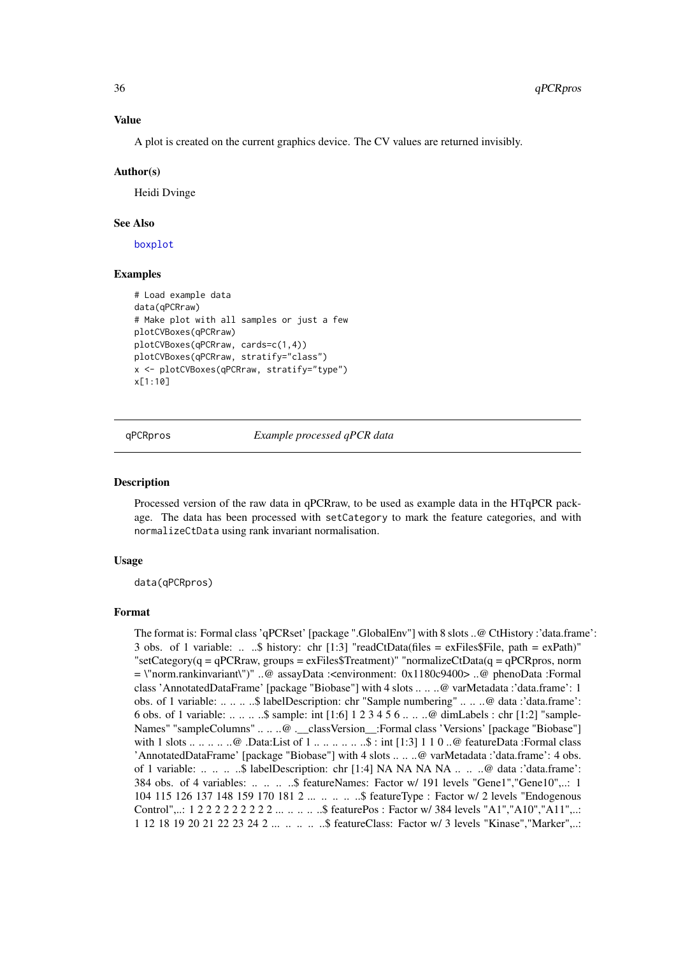#### Value

A plot is created on the current graphics device. The CV values are returned invisibly.

#### Author(s)

Heidi Dvinge

#### See Also

[boxplot](#page-0-0)

# Examples

```
# Load example data
data(qPCRraw)
# Make plot with all samples or just a few
plotCVBoxes(qPCRraw)
plotCVBoxes(qPCRraw, cards=c(1,4))
plotCVBoxes(qPCRraw, stratify="class")
x <- plotCVBoxes(qPCRraw, stratify="type")
x[1:10]
```
qPCRpros *Example processed qPCR data*

#### Description

Processed version of the raw data in qPCRraw, to be used as example data in the HTqPCR package. The data has been processed with setCategory to mark the feature categories, and with normalizeCtData using rank invariant normalisation.

#### Usage

data(qPCRpros)

#### Format

The format is: Formal class 'qPCRset' [package ".GlobalEnv"] with 8 slots ..@ CtHistory :'data.frame': 3 obs. of 1 variable: .. ..\$ history: chr [1:3] "readCtData(files = exFiles\$File, path = exPath)" "setCategory(q = qPCRraw, groups = exFiles\$Treatment)" "normalizeCtData(q = qPCRpros, norm  $= \text{``norm.rankinvariant''}$ " ..@ assayData :<environment: 0x1180c9400> ..@ phenoData :Formal class 'AnnotatedDataFrame' [package "Biobase"] with 4 slots .. .. ..@ varMetadata :'data.frame': 1 obs. of 1 variable: .. .. .. ..\$ labelDescription: chr "Sample numbering" .. .. ..@ data :'data.frame': 6 obs. of 1 variable: .. .. .. ..\$ sample: int [1:6] 1 2 3 4 5 6 .. .. ..@ dimLabels : chr [1:2] "sample-Names" "sampleColumns" .. .. ..@ .\_classVersion : Formal class 'Versions' [package "Biobase"] with 1 slots .. .. .. .. .@ .Data:List of 1 .. .. .. .. .. ..\$ : int [1:3] 1 1 0 ..@ featureData :Formal class 'AnnotatedDataFrame' [package "Biobase"] with 4 slots .. .. ..@ varMetadata :'data.frame': 4 obs. of 1 variable: .. .. .. ..\$ labelDescription: chr [1:4] NA NA NA NA .. .. ..@ data :'data.frame': 384 obs. of 4 variables: .. .. .. ..\$ featureNames: Factor w/ 191 levels "Gene1","Gene10",..: 1 104 115 126 137 148 159 170 181 2 ... .. ... ... \$ featureType : Factor w/ 2 levels "Endogenous Control",..: 1 2 2 2 2 2 2 2 2 2 2 ... .. .. ... \$ featurePos : Factor w/ 384 levels "A1","A10","A11",..: 1 12 18 19 20 21 22 23 24 2 ... .. .. .. ..\$ featureClass: Factor w/ 3 levels "Kinase","Marker",..:

<span id="page-35-0"></span>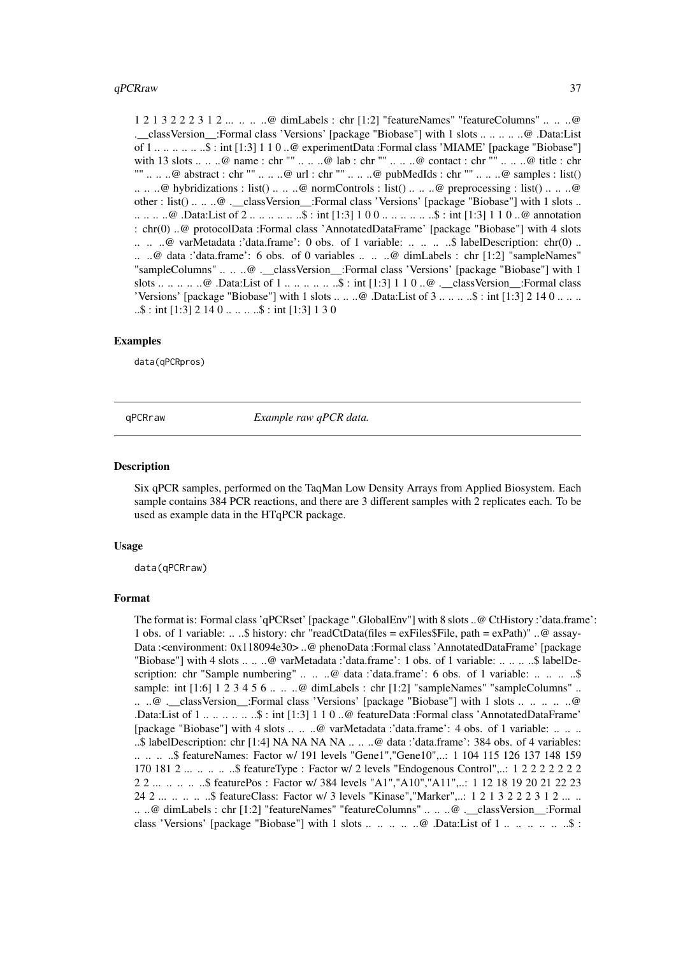#### <span id="page-36-0"></span> $q$ PCRraw  $37$

1 2 1 3 2 2 2 3 1 2 ... .. .. ..@ dimLabels : chr [1:2] "featureNames" "featureColumns" .. .. ..@ .\_\_classVersion\_\_:Formal class 'Versions' [package "Biobase"] with 1 slots .. .. .. .. ..@ .Data:List of 1 .. .. .. .. .. ..\$ : int [1:3] 1 1 0 ..@ experimentData :Formal class 'MIAME' [package "Biobase"] with 13 slots .. .. ..@ name : chr "" .. .. ..@ lab : chr "" .. .. ..@ contact : chr "" .. .. ..@ title : chr "" .. .. ..@ abstract : chr "" .. .. ..@ url : chr "" .. .. ..@ pubMedIds : chr "" .. .. ..@ samples : list()  $\dots \dots \textcircled{a}$  hybridizations : list()  $\dots \dots \textcircled{a}$  normControls : list()  $\dots \dots \textcircled{a}$  preprocessing : list()  $\dots \dots \textcircled{b}$ other : list() .. .. ..@ .\_\_classVersion\_:Formal class 'Versions' [package "Biobase"] with 1 slots .. .. .. .. ..@ .Data:List of 2 .. .. .. .. .. ..\$ : int [1:3] 1 0 0 .. .. .. .. .. ..\$ : int [1:3] 1 1 0 ..@ annotation : chr(0) ..@ protocolData :Formal class 'AnnotatedDataFrame' [package "Biobase"] with 4 slots .. ..  $\omega$  varMetadata :'data.frame': 0 obs. of 1 variable: .. .. .. .\$ labelDescription: chr(0) .. .. ..@ data :'data.frame': 6 obs. of 0 variables .. .. ..@ dimLabels : chr [1:2] "sampleNames" "sampleColumns" .. .. ..@ .\_\_classVersion\_\_:Formal class 'Versions' [package "Biobase"] with 1 slots .. .. .. .. ..@ .Data:List of 1 .. .. .. .. .. .. \$ : int [1:3]  $1 1 0$  ...@ .\_\_classVersion\_\_:Formal class 'Versions' [package "Biobase"] with 1 slots  $\dots \dots \omega$ . Data:List of 3  $\dots \dots \dots$ \$ : int [1:3] 2 14 0  $\dots \dots$  $\ldots$ \$ : int [1:3] 2 14 0  $\ldots$   $\ldots$   $\ldots$ \$ : int [1:3] 1 3 0

### Examples

data(qPCRpros)

qPCRraw *Example raw qPCR data.*

#### Description

Six qPCR samples, performed on the TaqMan Low Density Arrays from Applied Biosystem. Each sample contains 384 PCR reactions, and there are 3 different samples with 2 replicates each. To be used as example data in the HTqPCR package.

#### Usage

data(qPCRraw)

#### Format

The format is: Formal class 'qPCRset' [package ".GlobalEnv"] with 8 slots ..@ CtHistory :'data.frame': 1 obs. of 1 variable: ...  $\&$  history: chr "readCtData(files = exFiles\$File, path = exPath)" ..@ assay-Data :<environment: 0x118094e30> ..@ phenoData :Formal class 'AnnotatedDataFrame' [package "Biobase"] with 4 slots .. .. ..@ varMetadata :'data.frame': 1 obs. of 1 variable: .. .. .. ..\$ labelDescription: chr "Sample numbering" .. .. ..@ data :'data.frame': 6 obs. of 1 variable: .. .. .. ..\$ sample: int [1:6] 1 2 3 4 5 6 .. .. ..@ dimLabels : chr [1:2] "sampleNames" "sampleColumns" .. .. ..@ .\_\_classVersion\_\_:Formal class 'Versions' [package "Biobase"] with 1 slots .. .. .. .. ..@ .Data:List of 1 .. .. .. .. .. ..\$ : int [1:3] 1 1 0 ..@ featureData :Formal class 'AnnotatedDataFrame' [package "Biobase"] with 4 slots .. .. ..@ varMetadata :'data.frame': 4 obs. of 1 variable: .. .. .. ..\$ labelDescription: chr [1:4] NA NA NA NA .. .. ..@ data :'data.frame': 384 obs. of 4 variables: .. .. .. ..\$ featureNames: Factor w/ 191 levels "Gene1","Gene10",..: 1 104 115 126 137 148 159 170 181 2 ... .. .. .. ..\$ featureType : Factor w/ 2 levels "Endogenous Control",..: 1 2 2 2 2 2 2 2 2 2 ... .. .. .. \$ featurePos : Factor w/ 384 levels "A1","A10","A11",..: 1 12 18 19 20 21 22 23 24 2 ... .. .. .. ..\$ featureClass: Factor w/ 3 levels "Kinase","Marker",..: 1 2 1 3 2 2 2 3 1 2 ... .. .. ..@ dimLabels : chr [1:2] "featureNames" "featureColumns" .. .. ..@ .\_\_classVersion\_\_:Formal class 'Versions' [package "Biobase"] with 1 slots ... ... ... ... @ .Data:List of 1 ... ... ... ... ..\$ :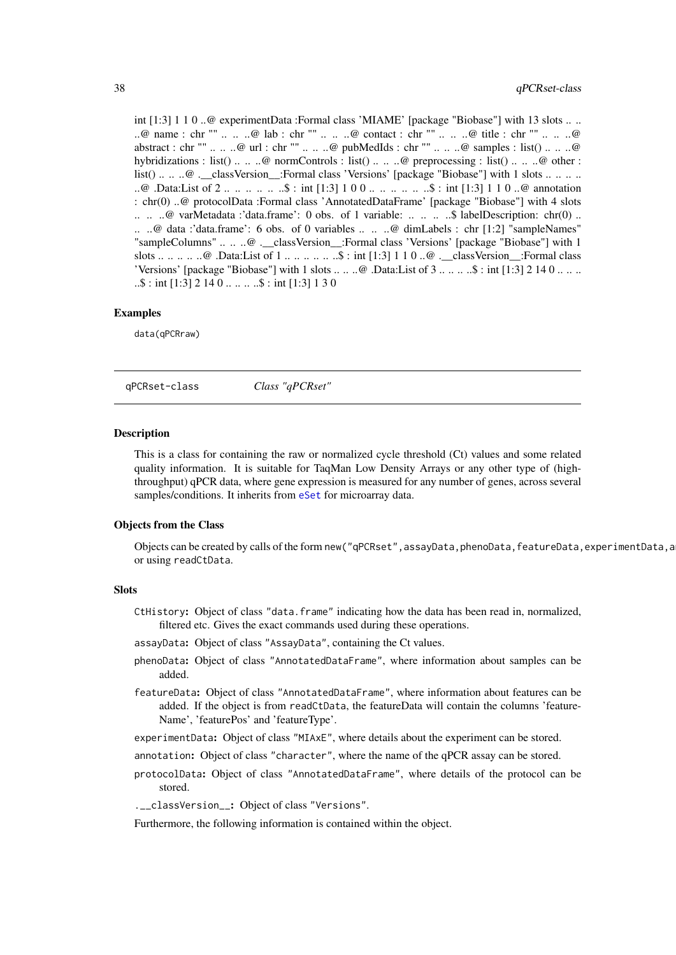<span id="page-37-0"></span>int [1:3] 1 1 0 ..@ experimentData :Formal class 'MIAME' [package "Biobase"] with 13 slots ... ..@ name : chr "" .. .. ..@ lab : chr "" .. .. ..@ contact : chr "" .. .. ..@ title : chr "" .. .. ..@ abstract : chr "" .. .. ..@ url : chr "" .. .. ..@ pubMedIds : chr "" .. .. ..@ samples : list() .. .. ..@ hybridizations : list() .. .. ..@ normControls : list() .. .. ..@ preprocessing : list() .. .. ..@ other : list() .. .. ..@ .\_\_classVersion\_:Formal class 'Versions' [package "Biobase"] with 1 slots .. .. .. .. ..@ .Data:List of 2 .. .. ... ... ..\$ : int [1:3] 1 0 0 .. .. ... ... ..\$ : int [1:3] 1 1 0 ..@ annotation : chr(0) ..@ protocolData :Formal class 'AnnotatedDataFrame' [package "Biobase"] with 4 slots .. .. ..@ varMetadata :'data.frame': 0 obs. of 1 variable: .. .. .. ..\$ labelDescription: chr(0) .. .. ..@ data :'data.frame': 6 obs. of 0 variables .. .. ..@ dimLabels : chr [1:2] "sampleNames" "sampleColumns" .. .. ..@ . classVersion :Formal class 'Versions' [package "Biobase"] with 1 slots .. .. .. .. ..@ .Data:List of  $1 \ldots \ldots \ldots \ldots$  ...\$ : int [1:3] 1 1 0 ..@ .\_\_classVersion\_:Formal class 'Versions' [package "Biobase"] with 1 slots .. .. ..@ .Data:List of  $3 \ldots \ldots \ldots$ \$: int [1:3] 2 14 0 .. .. ..  $\ldots$ \$ : int [1:3] 2 14 0  $\ldots$   $\ldots$   $\ldots$ \$ : int [1:3] 1 3 0

#### Examples

data(qPCRraw)

<span id="page-37-1"></span>qPCRset-class *Class "qPCRset"*

#### Description

This is a class for containing the raw or normalized cycle threshold (Ct) values and some related quality information. It is suitable for TaqMan Low Density Arrays or any other type of (highthroughput) qPCR data, where gene expression is measured for any number of genes, across several samples/conditions. It inherits from [eSet](#page-0-0) for microarray data.

#### Objects from the Class

Objects can be created by calls of the form new("qPCRset",assayData,phenoData,featureData,experimentData,a or using readCtData.

#### Slots

- CtHistory: Object of class "data.frame" indicating how the data has been read in, normalized, filtered etc. Gives the exact commands used during these operations.
- assayData: Object of class "AssayData", containing the Ct values.
- phenoData: Object of class "AnnotatedDataFrame", where information about samples can be added.
- featureData: Object of class "AnnotatedDataFrame", where information about features can be added. If the object is from readCtData, the featureData will contain the columns 'feature-Name', 'featurePos' and 'featureType'.
- experimentData: Object of class "MIAxE", where details about the experiment can be stored.
- annotation: Object of class "character", where the name of the qPCR assay can be stored.
- protocolData: Object of class "AnnotatedDataFrame", where details of the protocol can be stored.

.\_\_classVersion\_\_: Object of class "Versions".

Furthermore, the following information is contained within the object.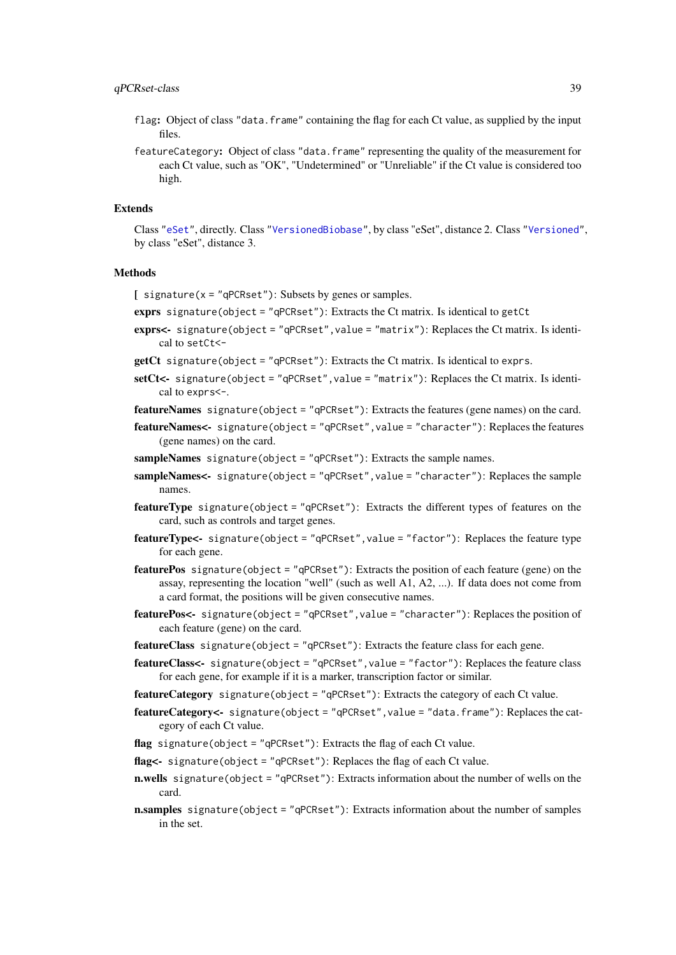#### <span id="page-38-0"></span>qPCRset-class 39

- flag: Object of class "data.frame" containing the flag for each Ct value, as supplied by the input files.
- featureCategory: Object of class "data.frame" representing the quality of the measurement for each Ct value, such as "OK", "Undetermined" or "Unreliable" if the Ct value is considered too high.

#### Extends

Class ["eSet"](#page-0-0), directly. Class ["VersionedBiobase"](#page-0-0), by class "eSet", distance 2. Class ["Versioned"](#page-0-0), by class "eSet", distance 3.

#### Methods

- $\int$  signature(x = "qPCRset"): Subsets by genes or samples.
- exprs signature(object = " $qPCRset$ "): Extracts the Ct matrix. Is identical to getCt
- exprs<- signature(object = "qPCRset", value = "matrix"): Replaces the Ct matrix. Is identical to setCt<-
- getCt signature(object = "qPCRset"): Extracts the Ct matrix. Is identical to exprs.
- setCt<- signature(object = "qPCRset", value = "matrix"): Replaces the Ct matrix. Is identical to exprs<-.
- featureNames signature(object = "qPCRset"): Extracts the features (gene names) on the card.
- featureNames<- signature(object = "qPCRset",value = "character"): Replaces the features (gene names) on the card.
- sampleNames signature(object = "qPCRset"): Extracts the sample names.
- sampleNames<- signature(object = "qPCRset", value = "character"): Replaces the sample names.
- featureType signature(object = "qPCRset"): Extracts the different types of features on the card, such as controls and target genes.
- featureType<- signature(object = "qPCRset",value = "factor"): Replaces the feature type for each gene.
- featurePos signature(object = "qPCRset"): Extracts the position of each feature (gene) on the assay, representing the location "well" (such as well A1, A2, ...). If data does not come from a card format, the positions will be given consecutive names.
- featurePos<- signature(object = "qPCRset",value = "character"): Replaces the position of each feature (gene) on the card.
- featureClass signature(object = "qPCRset"): Extracts the feature class for each gene.
- featureClass<- signature(object = "qPCRset",value = "factor"): Replaces the feature class for each gene, for example if it is a marker, transcription factor or similar.
- featureCategory signature(object = "qPCRset"): Extracts the category of each Ct value.
- featureCategory<- signature(object = "qPCRset",value = "data.frame"): Replaces the category of each Ct value.
- flag signature(object = "qPCRset"): Extracts the flag of each Ct value.
- flag<- signature(object = "qPCRset"): Replaces the flag of each Ct value.
- n.wells signature(object = "qPCRset"): Extracts information about the number of wells on the card.
- n.samples signature(object = "qPCRset"): Extracts information about the number of samples in the set.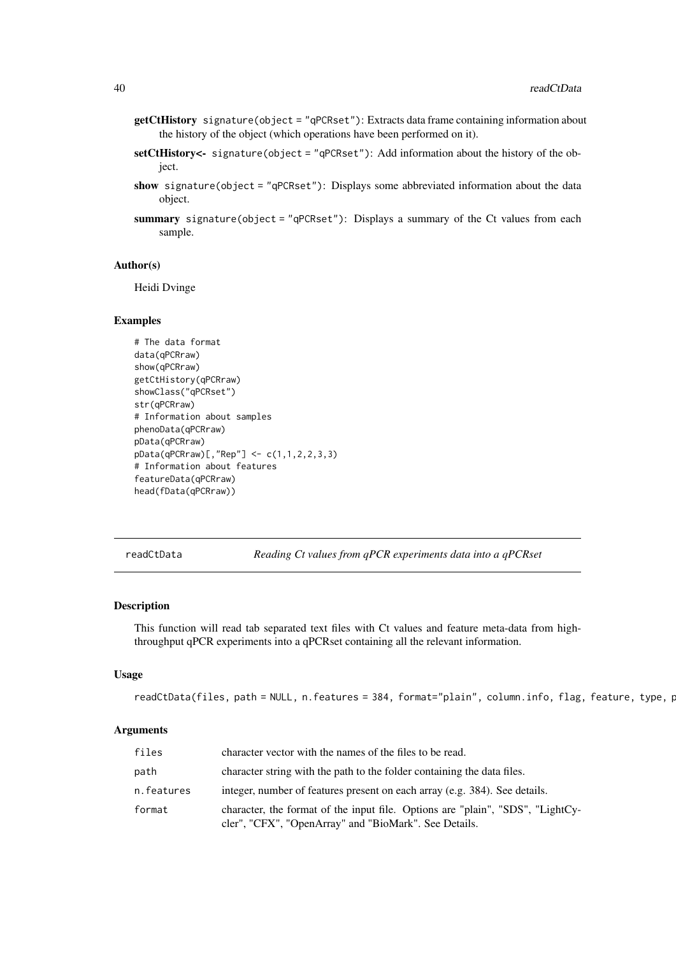- <span id="page-39-0"></span>getCtHistory signature(object = "qPCRset"): Extracts data frame containing information about the history of the object (which operations have been performed on it).
- setCtHistory<- signature(object = "qPCRset"): Add information about the history of the object.
- show signature(object = "qPCRset"): Displays some abbreviated information about the data object.
- summary signature(object = "qPCRset"): Displays a summary of the Ct values from each sample.

#### Author(s)

Heidi Dvinge

#### Examples

```
# The data format
data(qPCRraw)
show(qPCRraw)
getCtHistory(qPCRraw)
showClass("qPCRset")
str(qPCRraw)
# Information about samples
phenoData(qPCRraw)
pData(qPCRraw)
pData(qPCRraw)[,"Rep"] <- c(1,1,2,2,3,3)
# Information about features
featureData(qPCRraw)
head(fData(qPCRraw))
```
readCtData *Reading Ct values from qPCR experiments data into a qPCRset*

# Description

This function will read tab separated text files with Ct values and feature meta-data from highthroughput qPCR experiments into a qPCRset containing all the relevant information.

# Usage

readCtData(files, path = NULL, n.features = 384, format="plain", column.info, flag, feature, type, p

| files      | character vector with the names of the files to be read.                                                                                |
|------------|-----------------------------------------------------------------------------------------------------------------------------------------|
| path       | character string with the path to the folder containing the data files.                                                                 |
| n.features | integer, number of features present on each array (e.g. 384). See details.                                                              |
| format     | character, the format of the input file. Options are "plain", "SDS", "LightCy-<br>cler", "CFX", "OpenArray" and "BioMark". See Details. |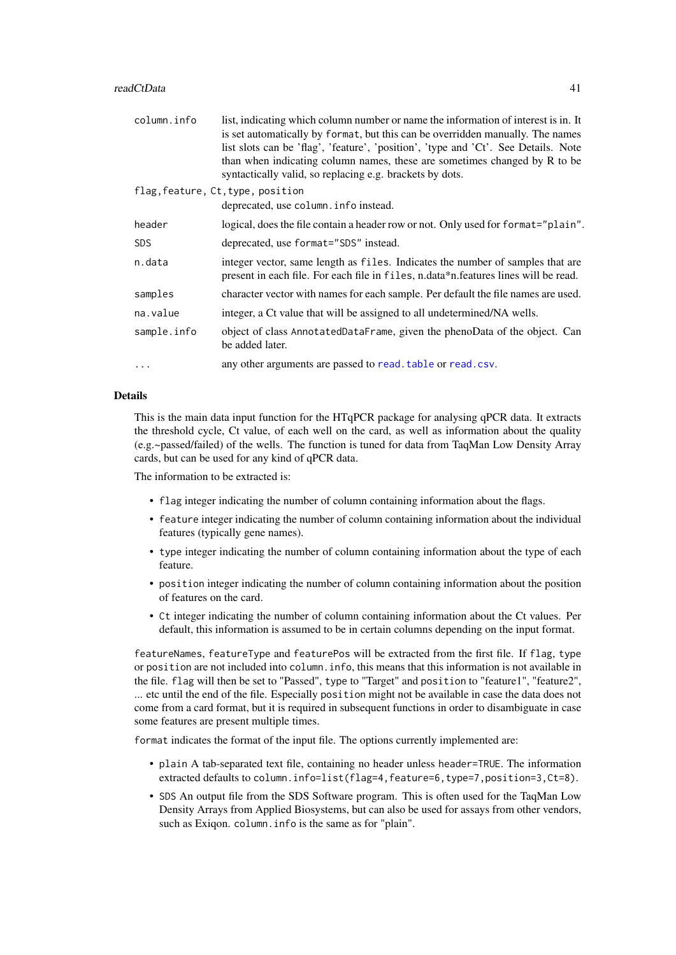<span id="page-40-0"></span>

| column.info | list, indicating which column number or name the information of interest is in. It                                                                                    |
|-------------|-----------------------------------------------------------------------------------------------------------------------------------------------------------------------|
|             | is set automatically by format, but this can be overridden manually. The names                                                                                        |
|             | list slots can be 'flag', 'feature', 'position', 'type and 'Ct'. See Details. Note                                                                                    |
|             | than when indicating column names, these are sometimes changed by R to be                                                                                             |
|             | syntactically valid, so replacing e.g. brackets by dots.                                                                                                              |
|             | flag, feature, Ct, type, position                                                                                                                                     |
|             | deprecated, use column. info instead.                                                                                                                                 |
| header      | logical, does the file contain a header row or not. Only used for format="plain".                                                                                     |
| <b>SDS</b>  | deprecated, use format="SDS" instead.                                                                                                                                 |
| n.data      | integer vector, same length as files. Indicates the number of samples that are<br>present in each file. For each file in files, n.data*n.features lines will be read. |
| samples     | character vector with names for each sample. Per default the file names are used.                                                                                     |
| na.value    | integer, a Ct value that will be assigned to all undetermined/NA wells.                                                                                               |
| sample.info | object of class AnnotatedDataFrame, given the phenoData of the object. Can<br>be added later.                                                                         |
|             | any other arguments are passed to read. table or read. csv.                                                                                                           |

# Details

This is the main data input function for the HTqPCR package for analysing qPCR data. It extracts the threshold cycle, Ct value, of each well on the card, as well as information about the quality (e.g.~passed/failed) of the wells. The function is tuned for data from TaqMan Low Density Array cards, but can be used for any kind of qPCR data.

The information to be extracted is:

- flag integer indicating the number of column containing information about the flags.
- feature integer indicating the number of column containing information about the individual features (typically gene names).
- type integer indicating the number of column containing information about the type of each feature.
- position integer indicating the number of column containing information about the position of features on the card.
- Ct integer indicating the number of column containing information about the Ct values. Per default, this information is assumed to be in certain columns depending on the input format.

featureNames, featureType and featurePos will be extracted from the first file. If flag, type or position are not included into column.info, this means that this information is not available in the file. flag will then be set to "Passed", type to "Target" and position to "feature1", "feature2", ... etc until the end of the file. Especially position might not be available in case the data does not come from a card format, but it is required in subsequent functions in order to disambiguate in case some features are present multiple times.

format indicates the format of the input file. The options currently implemented are:

- plain A tab-separated text file, containing no header unless header=TRUE. The information extracted defaults to column.info=list(flag=4,feature=6,type=7,position=3,Ct=8).
- SDS An output file from the SDS Software program. This is often used for the TaqMan Low Density Arrays from Applied Biosystems, but can also be used for assays from other vendors, such as Exiqon. column.info is the same as for "plain".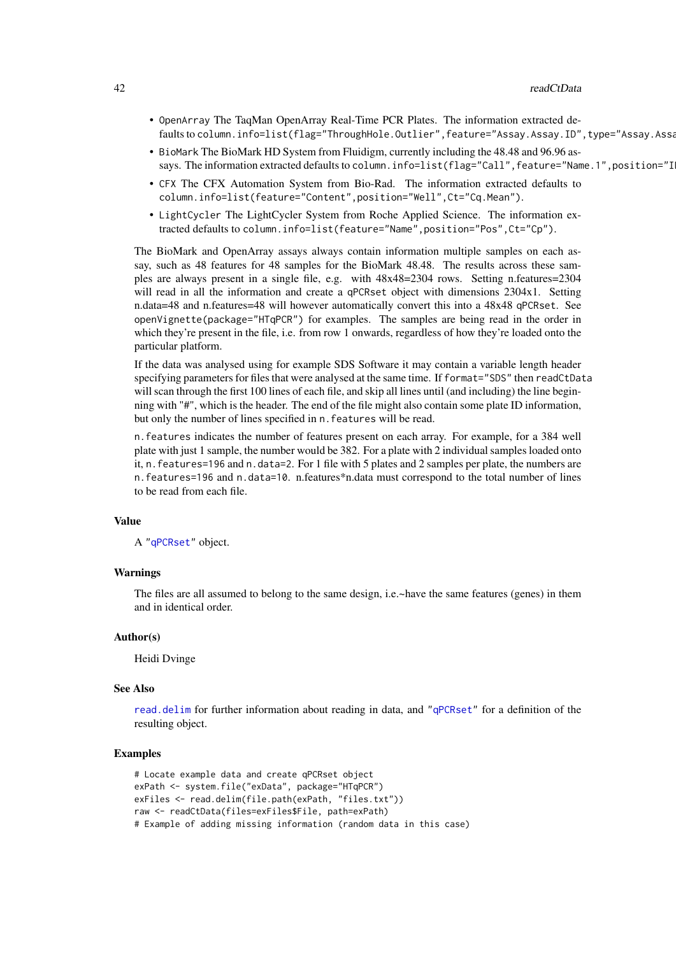- <span id="page-41-0"></span>• OpenArray The TaqMan OpenArray Real-Time PCR Plates. The information extracted defaults to column.info=list(flag="ThroughHole.Outlier",feature="Assay.Assay.ID",type="Assay.Assa
- BioMark The BioMark HD System from Fluidigm, currently including the 48.48 and 96.96 assays. The information extracted defaults to column.info=list(flag="Call", feature="Name.1", position="I
- CFX The CFX Automation System from Bio-Rad. The information extracted defaults to column.info=list(feature="Content",position="Well",Ct="Cq.Mean").
- LightCycler The LightCycler System from Roche Applied Science. The information extracted defaults to column.info=list(feature="Name",position="Pos",Ct="Cp").

The BioMark and OpenArray assays always contain information multiple samples on each assay, such as 48 features for 48 samples for the BioMark 48.48. The results across these samples are always present in a single file, e.g. with 48x48=2304 rows. Setting n.features=2304 will read in all the information and create a qPCRset object with dimensions 2304x1. Setting n.data=48 and n.features=48 will however automatically convert this into a 48x48 qPCRset. See openVignette(package="HTqPCR") for examples. The samples are being read in the order in which they're present in the file, i.e. from row 1 onwards, regardless of how they're loaded onto the particular platform.

If the data was analysed using for example SDS Software it may contain a variable length header specifying parameters for files that were analysed at the same time. If format="SDS" then readCtData will scan through the first 100 lines of each file, and skip all lines until (and including) the line beginning with "#", which is the header. The end of the file might also contain some plate ID information, but only the number of lines specified in n.features will be read.

n.features indicates the number of features present on each array. For example, for a 384 well plate with just 1 sample, the number would be 382. For a plate with 2 individual samples loaded onto it, n.features=196 and n.data=2. For 1 file with 5 plates and 2 samples per plate, the numbers are n.features=196 and n.data=10. n.features\*n.data must correspond to the total number of lines to be read from each file.

#### Value

A ["qPCRset"](#page-37-1) object.

#### Warnings

The files are all assumed to belong to the same design, i.e.~have the same features (genes) in them and in identical order.

# Author(s)

Heidi Dvinge

#### See Also

[read.delim](#page-0-0) for further information about reading in data, and ["qPCRset"](#page-37-1) for a definition of the resulting object.

```
# Locate example data and create qPCRset object
exPath <- system.file("exData", package="HTqPCR")
exFiles <- read.delim(file.path(exPath, "files.txt"))
raw <- readCtData(files=exFiles$File, path=exPath)
# Example of adding missing information (random data in this case)
```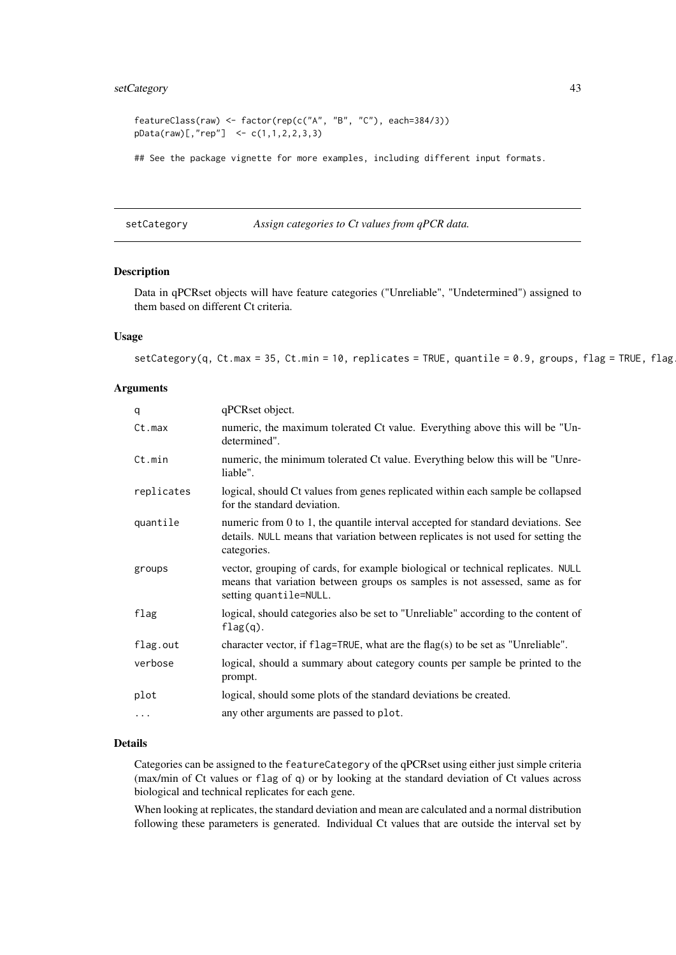# <span id="page-42-0"></span>setCategory 43

```
featureClass(raw) <- factor(rep(c("A", "B", "C"), each=384/3))
pData(raw)[, "rep"] < -c(1, 1, 2, 2, 3, 3)
```
## See the package vignette for more examples, including different input formats.

<span id="page-42-1"></span>setCategory *Assign categories to Ct values from qPCR data.*

# Description

Data in qPCRset objects will have feature categories ("Unreliable", "Undetermined") assigned to them based on different Ct criteria.

#### Usage

 $setCategory(q, Ct.max = 35, Ct.min = 10, replicates = TRUE, quantile = 0.9, groups, flag = TRUE, flag$ 

#### Arguments

| q          | qPCRset object.                                                                                                                                                                          |
|------------|------------------------------------------------------------------------------------------------------------------------------------------------------------------------------------------|
| Ct.max     | numeric, the maximum tolerated Ct value. Everything above this will be "Un-<br>determined".                                                                                              |
| Ct.min     | numeric, the minimum tolerated Ct value. Everything below this will be "Unre-<br>liable".                                                                                                |
| replicates | logical, should Ct values from genes replicated within each sample be collapsed<br>for the standard deviation.                                                                           |
| quantile   | numeric from 0 to 1, the quantile interval accepted for standard deviations. See<br>details. NULL means that variation between replicates is not used for setting the<br>categories.     |
| groups     | vector, grouping of cards, for example biological or technical replicates. NULL<br>means that variation between groups os samples is not assessed, same as for<br>setting quantile=NULL. |
| flag       | logical, should categories also be set to "Unreliable" according to the content of<br>$flag(q)$ .                                                                                        |
| flag.out   | character vector, if $flag = TRUE$ , what are the $flag(s)$ to be set as "Unreliable".                                                                                                   |
| verbose    | logical, should a summary about category counts per sample be printed to the<br>prompt.                                                                                                  |
| plot       | logical, should some plots of the standard deviations be created.                                                                                                                        |
| $\cdots$   | any other arguments are passed to plot.                                                                                                                                                  |

# Details

Categories can be assigned to the featureCategory of the qPCRset using either just simple criteria (max/min of Ct values or flag of q) or by looking at the standard deviation of Ct values across biological and technical replicates for each gene.

When looking at replicates, the standard deviation and mean are calculated and a normal distribution following these parameters is generated. Individual Ct values that are outside the interval set by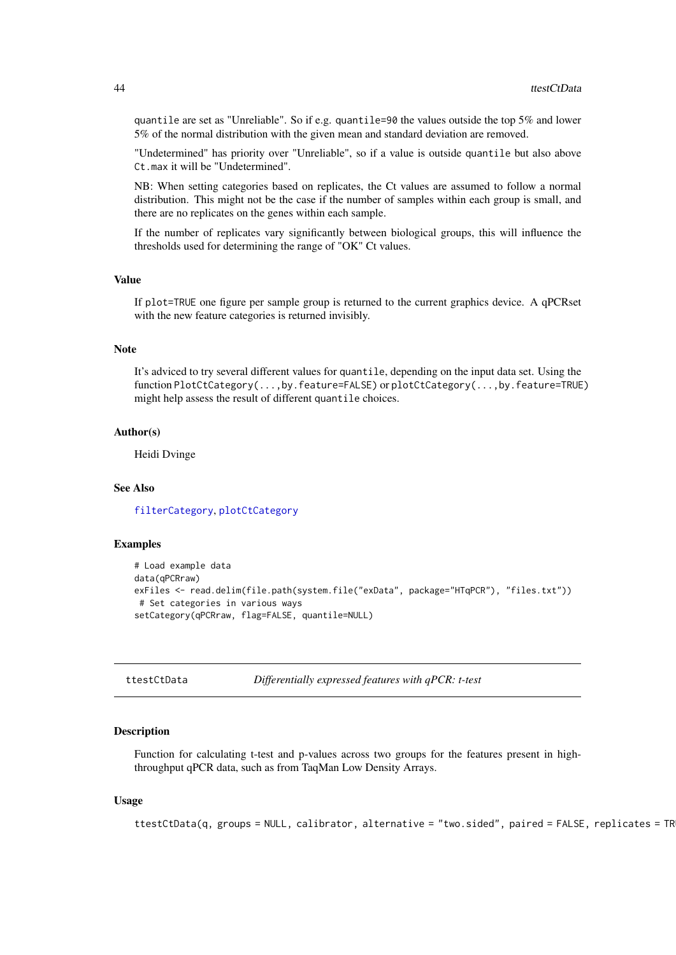quantile are set as "Unreliable". So if e.g. quantile=90 the values outside the top 5% and lower 5% of the normal distribution with the given mean and standard deviation are removed.

"Undetermined" has priority over "Unreliable", so if a value is outside quantile but also above Ct.max it will be "Undetermined".

NB: When setting categories based on replicates, the Ct values are assumed to follow a normal distribution. This might not be the case if the number of samples within each group is small, and there are no replicates on the genes within each sample.

If the number of replicates vary significantly between biological groups, this will influence the thresholds used for determining the range of "OK" Ct values.

#### Value

If plot=TRUE one figure per sample group is returned to the current graphics device. A qPCRset with the new feature categories is returned invisibly.

#### Note

It's adviced to try several different values for quantile, depending on the input data set. Using the function PlotCtCategory(...,by.feature=FALSE) or plotCtCategory(...,by.feature=TRUE) might help assess the result of different quantile choices.

#### Author(s)

Heidi Dvinge

#### See Also

[filterCategory](#page-5-1), [plotCtCategory](#page-17-1)

#### Examples

```
# Load example data
data(qPCRraw)
exFiles <- read.delim(file.path(system.file("exData", package="HTqPCR"), "files.txt"))
 # Set categories in various ways
setCategory(qPCRraw, flag=FALSE, quantile=NULL)
```
<span id="page-43-1"></span>ttestCtData *Differentially expressed features with qPCR: t-test*

#### **Description**

Function for calculating t-test and p-values across two groups for the features present in highthroughput qPCR data, such as from TaqMan Low Density Arrays.

# Usage

```
ttestCtData(q, groups = NULL, calibration, alternative = "two.sided", paired = FALSE, replicates = TR
```
<span id="page-43-0"></span>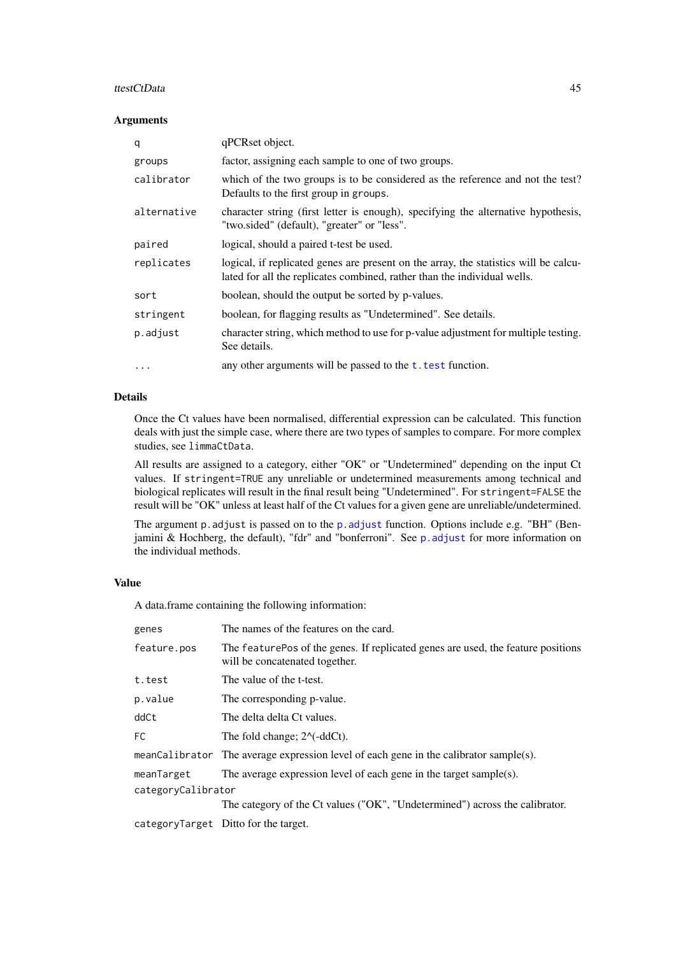#### <span id="page-44-0"></span>ttestCtData and the state of the state of the state of the state of the state of the state of the state of the state of the state of the state of the state of the state of the state of the state of the state of the state o

# Arguments

| q           | qPCRset object.                                                                                                                                                  |
|-------------|------------------------------------------------------------------------------------------------------------------------------------------------------------------|
| groups      | factor, assigning each sample to one of two groups.                                                                                                              |
| calibrator  | which of the two groups is to be considered as the reference and not the test?<br>Defaults to the first group in groups.                                         |
| alternative | character string (first letter is enough), specifying the alternative hypothesis,<br>"two.sided" (default), "greater" or "less".                                 |
| paired      | logical, should a paired t-test be used.                                                                                                                         |
| replicates  | logical, if replicated genes are present on the array, the statistics will be calcu-<br>lated for all the replicates combined, rather than the individual wells. |
| sort        | boolean, should the output be sorted by p-values.                                                                                                                |
| stringent   | boolean, for flagging results as "Undetermined". See details.                                                                                                    |
| p.adjust    | character string, which method to use for p-value adjustment for multiple testing.<br>See details.                                                               |
| $\ddotsc$   | any other arguments will be passed to the $t$ . test function.                                                                                                   |

# Details

Once the Ct values have been normalised, differential expression can be calculated. This function deals with just the simple case, where there are two types of samples to compare. For more complex studies, see limmaCtData.

All results are assigned to a category, either "OK" or "Undetermined" depending on the input Ct values. If stringent=TRUE any unreliable or undetermined measurements among technical and biological replicates will result in the final result being "Undetermined". For stringent=FALSE the result will be "OK" unless at least half of the Ct values for a given gene are unreliable/undetermined.

The argument [p.adjust](#page-0-0) is passed on to the p.adjust function. Options include e.g. "BH" (Benjamini & Hochberg, the default), "fdr" and "bonferroni". See [p.adjust](#page-0-0) for more information on the individual methods.

# Value

A data.frame containing the following information:

| genes              | The names of the features on the card.                                                                              |
|--------------------|---------------------------------------------------------------------------------------------------------------------|
| feature.pos        | The feature Pos of the genes. If replicated genes are used, the feature positions<br>will be concatenated together. |
| t.test             | The value of the t-test.                                                                                            |
| p.value            | The corresponding p-value.                                                                                          |
| ddCt               | The delta delta Ct values.                                                                                          |
| FC.                | The fold change; $2^{\wedge}$ (-ddCt).                                                                              |
|                    | meanCalibrator The average expression level of each gene in the calibrator sample(s).                               |
| meanTarget         | The average expression level of each gene in the target sample(s).                                                  |
| categoryCalibrator |                                                                                                                     |
|                    | The category of the Ct values ("OK", "Undetermined") across the calibrator.                                         |
|                    | categoryTarget Ditto for the target.                                                                                |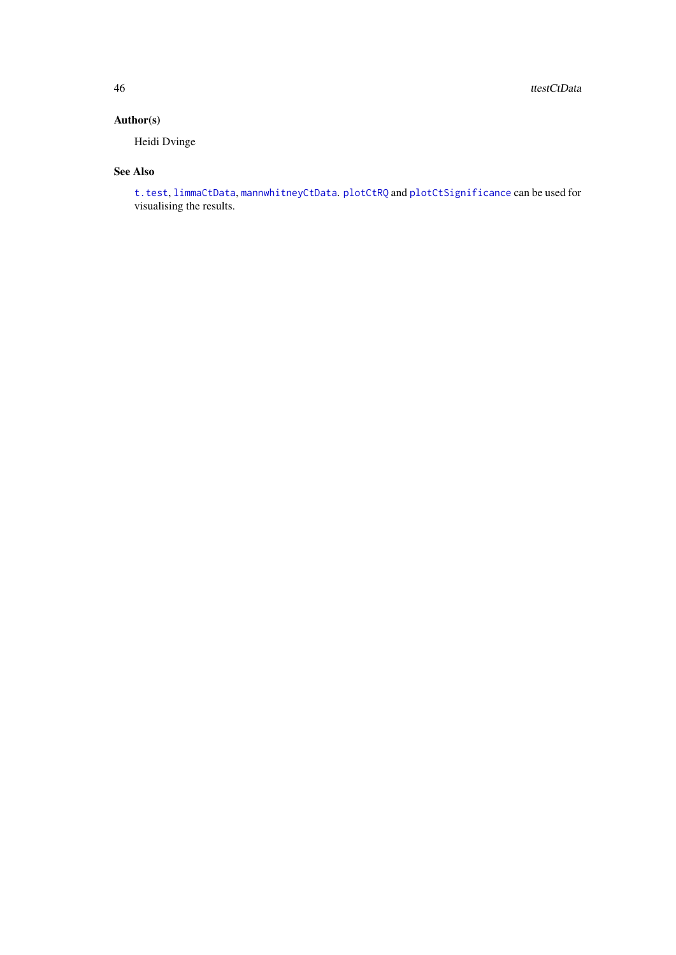<span id="page-45-0"></span>46 ttestCtData

# Author(s)

Heidi Dvinge

# See Also

[t.test](#page-0-0), [limmaCtData](#page-9-1), [mannwhitneyCtData](#page-11-1). [plotCtRQ](#page-29-1) and [plotCtSignificance](#page-31-1) can be used for visualising the results.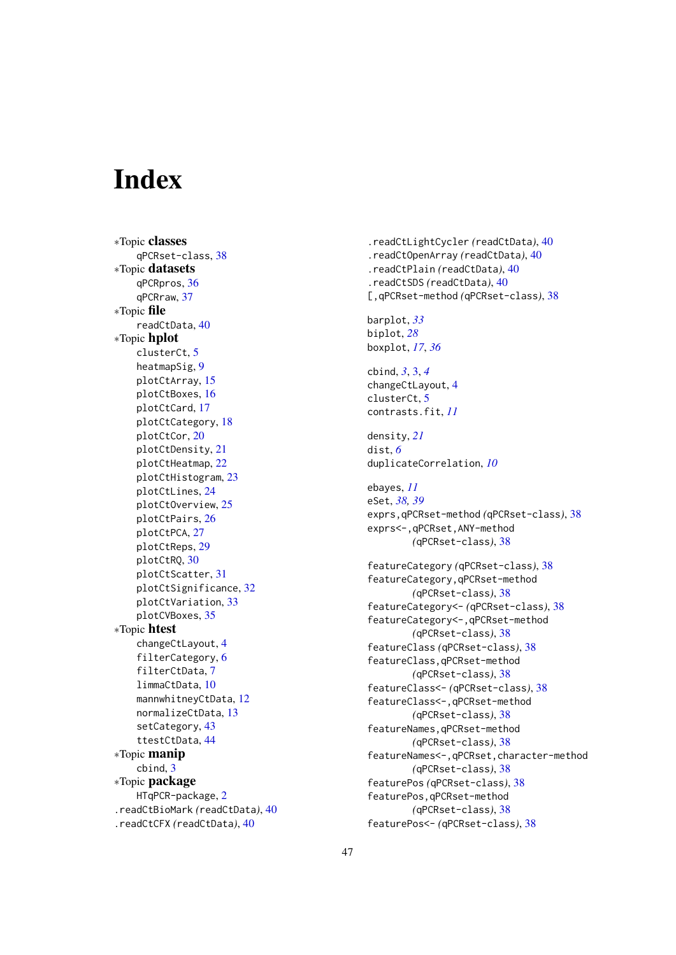# <span id="page-46-0"></span>Index

∗Topic classes qPCRset-class, [38](#page-37-0) ∗Topic datasets qPCRpros, [36](#page-35-0) qPCRraw, [37](#page-36-0) ∗Topic file readCtData, [40](#page-39-0) ∗Topic hplot clusterCt, [5](#page-4-0) heatmapSig, [9](#page-8-0) plotCtArray, [15](#page-14-0) plotCtBoxes, [16](#page-15-0) plotCtCard, [17](#page-16-0) plotCtCategory, [18](#page-17-0) plotCtCor, [20](#page-19-0) plotCtDensity, [21](#page-20-0) plotCtHeatmap, [22](#page-21-0) plotCtHistogram, [23](#page-22-0) plotCtLines, [24](#page-23-0) plotCtOverview, [25](#page-24-0) plotCtPairs, [26](#page-25-0) plotCtPCA, [27](#page-26-0) plotCtReps, [29](#page-28-0) plotCtRQ, [30](#page-29-0) plotCtScatter, [31](#page-30-0) plotCtSignificance, [32](#page-31-0) plotCtVariation, [33](#page-32-0) plotCVBoxes, [35](#page-34-0) ∗Topic htest changeCtLayout, [4](#page-3-0) filterCategory, [6](#page-5-0) filterCtData, [7](#page-6-0) limmaCtData, [10](#page-9-0) mannwhitneyCtData, [12](#page-11-0) normalizeCtData, [13](#page-12-0) setCategory, [43](#page-42-0) ttestCtData, [44](#page-43-0) ∗Topic manip cbind, [3](#page-2-0) ∗Topic package HTqPCR-package, [2](#page-1-0) .readCtBioMark *(*readCtData*)*, [40](#page-39-0) .readCtCFX *(*readCtData*)*, [40](#page-39-0)

.readCtLightCycler *(*readCtData*)*, [40](#page-39-0) .readCtOpenArray *(*readCtData*)*, [40](#page-39-0) .readCtPlain *(*readCtData*)*, [40](#page-39-0) .readCtSDS *(*readCtData*)*, [40](#page-39-0) [,qPCRset-method *(*qPCRset-class*)*, [38](#page-37-0) barplot, *[33](#page-32-0)* biplot, *[28](#page-27-0)* boxplot, *[17](#page-16-0)*, *[36](#page-35-0)* cbind, *[3](#page-2-0)*, [3,](#page-2-0) *[4](#page-3-0)* changeCtLayout, [4](#page-3-0) clusterCt, [5](#page-4-0) contrasts.fit, *[11](#page-10-0)* density, *[21](#page-20-0)* dist, *[6](#page-5-0)* duplicateCorrelation, *[10](#page-9-0)* ebayes, *[11](#page-10-0)* eSet, *[38,](#page-37-0) [39](#page-38-0)* exprs,qPCRset-method *(*qPCRset-class*)*, [38](#page-37-0) exprs<-,qPCRset,ANY-method *(*qPCRset-class*)*, [38](#page-37-0) featureCategory *(*qPCRset-class*)*, [38](#page-37-0) featureCategory,qPCRset-method *(*qPCRset-class*)*, [38](#page-37-0) featureCategory<- *(*qPCRset-class*)*, [38](#page-37-0) featureCategory<-,qPCRset-method *(*qPCRset-class*)*, [38](#page-37-0) featureClass *(*qPCRset-class*)*, [38](#page-37-0) featureClass,qPCRset-method *(*qPCRset-class*)*, [38](#page-37-0) featureClass<- *(*qPCRset-class*)*, [38](#page-37-0) featureClass<-,qPCRset-method *(*qPCRset-class*)*, [38](#page-37-0) featureNames,qPCRset-method *(*qPCRset-class*)*, [38](#page-37-0) featureNames<-,qPCRset,character-method *(*qPCRset-class*)*, [38](#page-37-0) featurePos *(*qPCRset-class*)*, [38](#page-37-0) featurePos,qPCRset-method *(*qPCRset-class*)*, [38](#page-37-0) featurePos<- *(*qPCRset-class*)*, [38](#page-37-0)